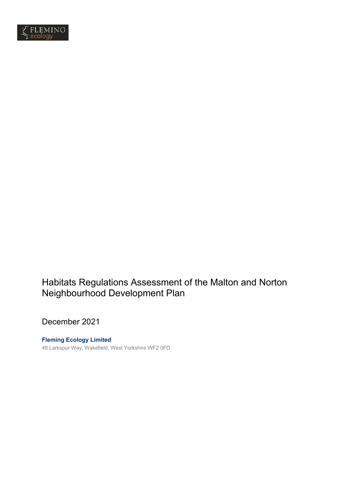

# Habitats Regulations Assessment of the Malton and Norton Neighbourhood Development Plan

December 2021

**Fleming Ecology Limited** 48 Larkspur Way, Wakefield, West Yorkshire WF2 0FD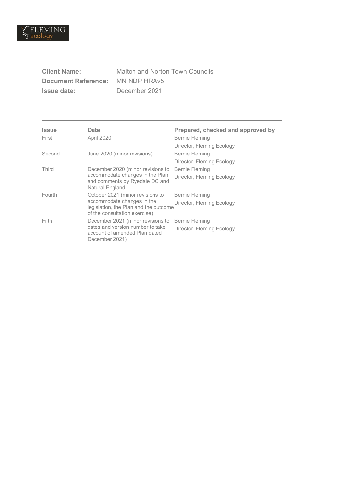

| <b>Client Name:</b>        |
|----------------------------|
| <b>Document Reference:</b> |
| <b>Issue date:</b>         |

**Malton and Norton Town Councils MN NDP HRAv5 Issue date:** December 2021

| <b>Issue</b><br>First | Date<br>April 2020                                                                                                                       | Prepared, checked and approved by<br>Bernie Fleming<br>Director, Fleming Ecology |
|-----------------------|------------------------------------------------------------------------------------------------------------------------------------------|----------------------------------------------------------------------------------|
| Second                | June 2020 (minor revisions)                                                                                                              | Bernie Fleming<br>Director, Fleming Ecology                                      |
| Third                 | December 2020 (minor revisions to<br>accommodate changes in the Plan<br>and comments by Ryedale DC and<br>Natural England                | Bernie Fleming<br>Director, Fleming Ecology                                      |
| Fourth                | October 2021 (minor revisions to<br>accommodate changes in the<br>legislation, the Plan and the outcome<br>of the consultation exercise) | Bernie Fleming<br>Director, Fleming Ecology                                      |
| Fifth                 | December 2021 (minor revisions to<br>dates and version number to take<br>account of amended Plan dated<br>December 2021)                 | Bernie Fleming<br>Director, Fleming Ecology                                      |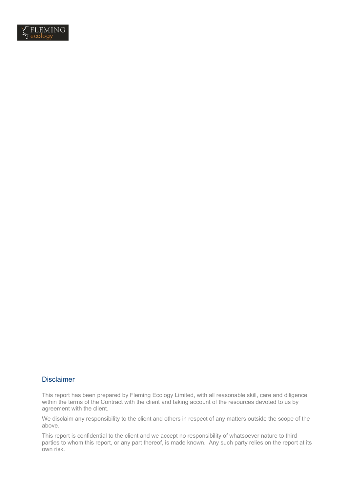

### **Disclaimer**

This report has been prepared by Fleming Ecology Limited, with all reasonable skill, care and diligence within the terms of the Contract with the client and taking account of the resources devoted to us by agreement with the client.

We disclaim any responsibility to the client and others in respect of any matters outside the scope of the above.

This report is confidential to the client and we accept no responsibility of whatsoever nature to third parties to whom this report, or any part thereof, is made known. Any such party relies on the report at its own risk.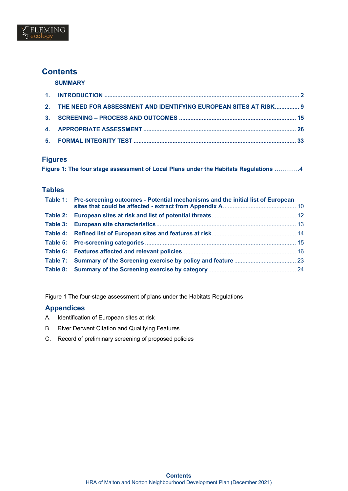

## **Contents**

**SUMMARY**

| 2. THE NEED FOR ASSESSMENT AND IDENTIFYING EUROPEAN SITES AT RISK 9 |  |
|---------------------------------------------------------------------|--|
|                                                                     |  |
|                                                                     |  |
|                                                                     |  |

## **Figures**

|  |  |  |  |  | Figure 1: The four stage assessment of Local Plans under the Habitats Regulations 4 |  |
|--|--|--|--|--|-------------------------------------------------------------------------------------|--|
|  |  |  |  |  |                                                                                     |  |

### **Tables**

| Table 1: Pre-screening outcomes - Potential mechanisms and the initial list of European |  |
|-----------------------------------------------------------------------------------------|--|
|                                                                                         |  |
|                                                                                         |  |
|                                                                                         |  |
|                                                                                         |  |
|                                                                                         |  |
| Table 7: Summary of the Screening exercise by policy and feature  23                    |  |
|                                                                                         |  |

Figure 1 The four-stage assessment of plans under the Habitats Regulations

### **Appendices**

- A. Identification of European sites at risk
- B. River Derwent Citation and Qualifying Features
- C. Record of preliminary screening of proposed policies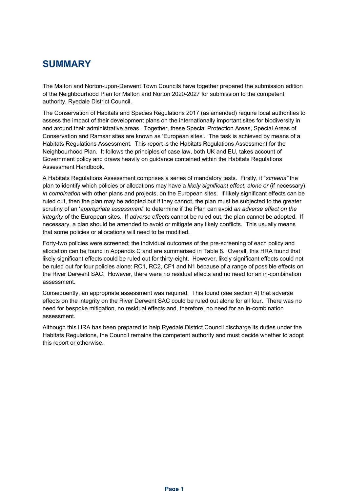# **SUMMARY**

The Malton and Norton-upon-Derwent Town Councils have together prepared the submission edition of the Neighbourhood Plan for Malton and Norton 2020-2027 for submission to the competent authority, Ryedale District Council.

The Conservation of Habitats and Species Regulations 2017 (as amended) require local authorities to assess the impact of their development plans on the internationally important sites for biodiversity in and around their administrative areas. Together, these Special Protection Areas, Special Areas of Conservation and Ramsar sites are known as 'European sites'. The task is achieved by means of a Habitats Regulations Assessment. This report is the Habitats Regulations Assessment for the Neighbourhood Plan. It follows the principles of case law, both UK and EU, takes account of Government policy and draws heavily on guidance contained within the Habitats Regulations Assessment Handbook.

A Habitats Regulations Assessment comprises a series of mandatory tests. Firstly, it "*screens"* the plan to identify which policies or allocations may have a *likely significant effect*, *alone or* (if necessary) *in combination* with other plans and projects, on the European sites. If likely significant effects can be ruled out, then the plan may be adopted but if they cannot, the plan must be subjected to the greater scrutiny of an '*appropriate assessment'* to determine if the Plan can avoid *an adverse effect on the integrity* of the European sites. If *adverse effects* cannot be ruled out, the plan cannot be adopted. If necessary, a plan should be amended to avoid or mitigate any likely conflicts. This usually means that some policies or allocations will need to be modified.

Forty-two policies were screened; the individual outcomes of the pre-screening of each policy and allocation can be found in Appendix C and are summarised in Table 8. Overall, this HRA found that likely significant effects could be ruled out for thirty-eight. However, likely significant effects could not be ruled out for four policies alone: RC1, RC2, CF1 and N1 because of a range of possible effects on the River Derwent SAC. However, there were no residual effects and no need for an in-combination assessment.

Consequently, an appropriate assessment was required. This found (see section 4) that adverse effects on the integrity on the River Derwent SAC could be ruled out alone for all four. There was no need for bespoke mitigation, no residual effects and, therefore, no need for an in-combination assessment.

Although this HRA has been prepared to help Ryedale District Council discharge its duties under the Habitats Regulations, the Council remains the competent authority and must decide whether to adopt this report or otherwise.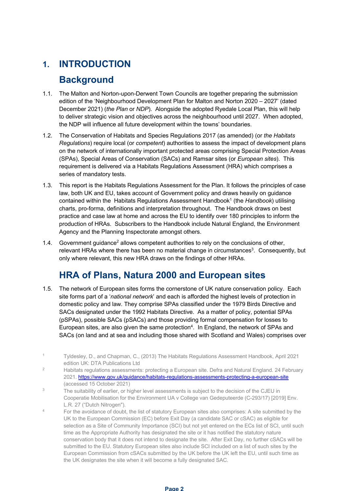# **1. INTRODUCTION**

# **Background**

- 1.1. The Malton and Norton-upon-Derwent Town Councils are together preparing the submission edition of the 'Neighbourhood Development Plan for Malton and Norton 2020 – 2027' (dated December 2021) (*the Plan* or *NDP*). Alongside the adopted Ryedale Local Plan, this will help to deliver strategic vision and objectives across the neighbourhood until 2027. When adopted, the NDP will influence all future development within the towns' boundaries.
- 1.2. The Conservation of Habitats and Species Regulations 2017 (as amended) (or *the Habitats Regulations*) require local (or *competent*) authorities to assess the impact of development plans on the network of internationally important protected areas comprising Special Protection Areas (SPAs), Special Areas of Conservation (SACs) and Ramsar sites (or *European sites*). This requirement is delivered via a Habitats Regulations Assessment (HRA) which comprises a series of mandatory tests.
- 1.3. This report is the Habitats Regulations Assessment for the Plan. It follows the principles of case law, both UK and EU, takes account of Government policy and draws heavily on guidance contained within the Habitats Regulations Assessment Handbook1 (the *Handbook*) utilising charts, pro-forma, definitions and interpretation throughout. The Handbook draws on best practice and case law at home and across the EU to identify over 180 principles to inform the production of HRAs. Subscribers to the Handbook include Natural England, the Environment Agency and the Planning Inspectorate amongst others.
- 1.4. Government guidance<sup>2</sup> allows competent authorities to rely on the conclusions of other, relevant HRAs where there has been no material change in circumstances<sup>3</sup>. Consequently, but only where relevant, this new HRA draws on the findings of other HRAs.

# **HRA of Plans, Natura 2000 and European sites**

1.5. The network of European sites forms the cornerstone of UK nature conservation policy. Each site forms part of a '*national network*' and each is afforded the highest levels of protection in domestic policy and law. They comprise SPAs classified under the 1979 Birds Directive and SACs designated under the 1992 Habitats Directive. As a matter of policy, potential SPAs (pSPAs), possible SACs (pSACs) and those providing formal compensation for losses to European sites, are also given the same protection<sup>4</sup>. In England, the network of SPAs and SACs (on land and at sea and including those shared with Scotland and Wales) comprises over

- <sup>2</sup> Habitats regulations assessments: protecting a European site. Defra and Natural England. 24 February 2021. https://www.gov.uk/guidance/habitats-regulations-assessments-protecting-a-european-site (accessed 15 October 2021)
- <sup>3</sup> The suitability of earlier, or higher level assessments is subject to the decision of the CJEU in Cooperatie Mobilisation for the Environment UA v College van Gedeputeerde (C-293/17) [2019] Env. L.R. 27 ("Dutch Nitrogen").
- <sup>4</sup> For the avoidance of doubt, the list of statutory European sites also comprises: A site submitted by the UK to the European Commission (EC) before Exit Day (a candidate SAC or cSAC) as eligible for selection as a Site of Community Importance (SCI) but not yet entered on the ECs list of SCI, until such time as the Appropriate Authority has designated the site or it has notified the statutory nature conservation body that it does not intend to designate the site. After Exit Day, no further cSACs will be submitted to the EU. Statutory European sites also include SCI included on a list of such sites by the European Commission from cSACs submitted by the UK before the UK left the EU, until such time as the UK designates the site when it will become a fully designated SAC.

<sup>1</sup> Tyldesley, D., and Chapman, C., (2013) The Habitats Regulations Assessment Handbook, April 2021 edition UK: DTA Publications Ltd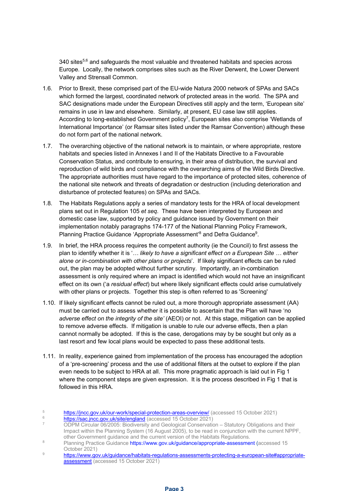340 sites<sup>5,6</sup> and safeguards the most valuable and threatened habitats and species across Europe. Locally, the network comprises sites such as the River Derwent, the Lower Derwent Valley and Strensall Common.

- 1.6. Prior to Brexit, these comprised part of the EU-wide Natura 2000 network of SPAs and SACs which formed the largest, coordinated network of protected areas in the world. The SPA and SAC designations made under the European Directives still apply and the term, 'European site' remains in use in law and elsewhere. Similarly, at present, EU case law still applies. According to long-established Government policy<sup>7</sup>, European sites also comprise 'Wetlands of International Importance' (or Ramsar sites listed under the Ramsar Convention) although these do not form part of the national network.
- 1.7. The overarching objective of the national network is to maintain, or where appropriate, restore habitats and species listed in Annexes I and II of the Habitats Directive to a Favourable Conservation Status, and contribute to ensuring, in their area of distribution, the survival and reproduction of wild birds and compliance with the overarching aims of the Wild Birds Directive. The appropriate authorities must have regard to the importance of protected sites, coherence of the national site network and threats of degradation or destruction (including deterioration and disturbance of protected features) on SPAs and SACs.
- 1.8. The Habitats Regulations apply a series of mandatory tests for the HRA of local development plans set out in Regulation 105 *et seq*. These have been interpreted by European and domestic case law, supported by policy and guidance issued by Government on their implementation notably paragraphs 174-177 of the National Planning Policy Framework, Planning Practice Guidance 'Appropriate Assessment'<sup>8</sup> and Defra Guidance<sup>9</sup>.
- 1.9. In brief, the HRA process requires the competent authority (ie the Council) to first assess the plan to identify whether it is '*… likely to have a significant effect on a European Site … either alone or in-combination with other plans or projects*'. If likely significant effects can be ruled out, the plan may be adopted without further scrutiny. Importantly, an in-combination assessment is only required where an impact is identified which would not have an insignificant effect on its own ('a *residual effect*) but where likely significant effects could arise cumulatively with other plans or projects. Together this step is often referred to as 'Screening'
- 1.10. If likely significant effects cannot be ruled out, a more thorough appropriate assessment (AA) must be carried out to assess whether it is possible to ascertain that the Plan will have 'no *adverse effect on the integrity of the site'* (AEOI) or not. At this stage, mitigation can be applied to remove adverse effects. If mitigation is unable to rule our adverse effects, then a plan cannot normally be adopted. If this is the case, derogations may by be sought but only as a last resort and few local plans would be expected to pass these additional tests.
- 1.11. In reality, experience gained from implementation of the process has encouraged the adoption of a 'pre-screening' process and the use of additional filters at the outset to explore if the plan even needs to be subject to HRA at all. This more pragmatic approach is laid out in Fig 1 where the component steps are given expression. It is the process described in Fig 1 that is followed in this HRA
- 5 https://jncc.gov.uk/our-work/special-protection-areas-overview/ (accessed 15 October 2021)
- 6 https://sac.jncc.gov.uk/site/england (accessed 15 October 2021)
- <sup>7</sup> ODPM Circular 06/2005: Biodiversity and Geological Conservation Statutory Obligations and their Impact within the Planning System (16 August 2005), to be read in conjunction with the current NPPF, other Government guidance and the current version of the Habitats Regulations.
- 8 Planning Practice Guidance https://www.gov.uk/guidance/appropriate-assessment (accessed 15 October 2021)
- 9 https://www.gov.uk/guidance/habitats-regulations-assessments-protecting-a-european-site#appropriateassessment (accessed 15 October 2021)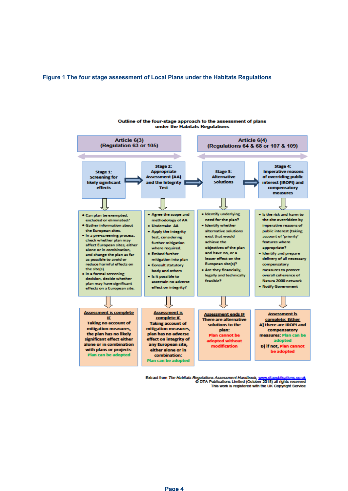#### **Figure 1 The four stage assessment of Local Plans under the Habitats Regulations**



under the Habitats Regulations

Outline of the four-stage approach to the assessment of plans

Extract from The Habitats Regulations Assessment Handbook, www.dtapublications.co.uk<br>O DTA Publications Limited (October 2018) all rights reserved This work is registered with the UK Copyright Service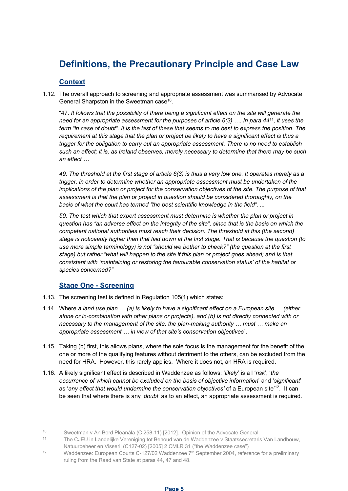# **Definitions, the Precautionary Principle and Case Law**

### **Context**

1.12. The overall approach to screening and appropriate assessment was summarised by Advocate General Sharpston in the Sweetman case<sup>10</sup>.

"47. *It follows that the possibility of there being a significant effect on the site will generate the need for an appropriate assessment for the purposes of article 6(3) …. In para 4411, it uses the term "in case of doubt". It is the last of these that seems to me best to express the position. The requirement at this stage that the plan or project be likely to have a significant effect is thus a trigger for the obligation to carry out an appropriate assessment. There is no need to establish such an effect; it is, as Ireland observes, merely necessary to determine that there may be such an effect …*

*49. The threshold at the first stage of article 6(3) is thus a very low one. It operates merely as a trigger, in order to determine whether an appropriate assessment must be undertaken of the implications of the plan or project for the conservation objectives of the site. The purpose of that assessment is that the plan or project in question should be considered thoroughly, on the basis of what the court has termed "the best scientific knowledge in the field". ...*

*50. The test which that expert assessment must determine is whether the plan or project in question has "an adverse effect on the integrity of the site", since that is the basis on which the competent national authorities must reach their decision. The threshold at this (the second) stage is noticeably higher than that laid down at the first stage. That is because the question (to use more simple terminology) is not "should we bother to check?" (the question at the first stage) but rather "what will happen to the site if this plan or project goes ahead; and is that consistent with 'maintaining or restoring the favourable conservation status' of the habitat or species concerned?"*

### **Stage One - Screening**

- 1.13. The screening test is defined in Regulation 105(1) which states:
- 1.14. Where *a land use plan … (a) is likely to have a significant effect on a European site … (either alone or in-combination with other plans or projects), and (b) is not directly connected with or necessary to the management of the site, the plan-making authority … must … make an appropriate assessment … in view of that site's conservation objectives*".
- 1.15. Taking (b) first, this allows plans, where the sole focus is the management for the benefit of the one or more of the qualifying features without detriment to the others, can be excluded from the need for HRA. However, this rarely applies. Where it does not, an HRA is required.
- 1.16. A likely significant effect is described in Waddenzee as follows: '*likely*' is a l '*risk*', '*the occurrence of which cannot be excluded on the basis of objective information*' and '*significant*' as 'any effect that would undermine the conservation objectives' of a European site<sup>'12</sup>. It can be seen that where there is any '*doubt*' as to an effect, an appropriate assessment is required.

<sup>10</sup> Sweetman v An Bord Pleanála (C 258-11) [2012]. Opinion of the Advocate General.

<sup>11</sup> The CJEU in Landelijke Vereniging tot Behoud van de Waddenzee v Staatssecretaris Van Landbouw, Natuurbeheer en Visserij (C127-02) [2005] 2 CMLR 31 ("the Waddenzee case")

<sup>&</sup>lt;sup>12</sup> Waddenzee: European Courts C-127/02 Waddenzee  $7<sup>th</sup>$  September 2004, reference for a preliminary ruling from the Raad van State at paras 44, 47 and 48.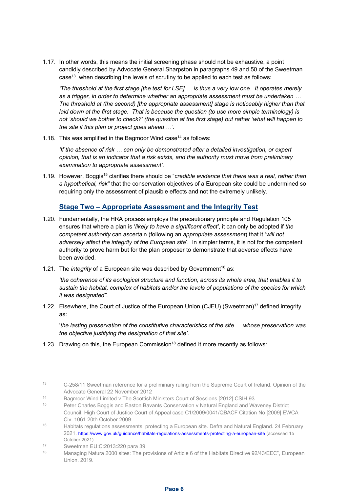1.17. In other words, this means the initial screening phase should not be exhaustive, a point candidly described by Advocate General Sharpston in paragraphs 49 and 50 of the Sweetman case<sup>13</sup> when describing the levels of scrutiny to be applied to each test as follows:

*'The threshold at the first stage [the test for LSE] … is thus a very low one. It operates merely as a trigger, in order to determine whether an appropriate assessment must be undertaken … The threshold at (the second) [the appropriate assessment] stage is noticeably higher than that laid down at the first stage. That is because the question (to use more simple terminology) is not 'should we bother to check?' (the question at the first stage) but rather 'what will happen to the site if this plan or project goes ahead …'.*

1.18. This was amplified in the Bagmoor Wind case<sup>14</sup> as follows:

*'If the absence of risk … can only be demonstrated after a detailed investigation, or expert opinion, that is an indicator that a risk exists, and the authority must move from preliminary examination to appropriate assessment'.*

1.19. However, Boggis<sup>15</sup> clarifies there should be "*credible evidence that there was a real, rather than a hypothetical, risk"* that the conservation objectives of a European site could be undermined so requiring only the assessment of plausible effects and not the extremely unlikely.

## **Stage Two – Appropriate Assessment and the Integrity Test**

- 1.20. Fundamentally, the HRA process employs the precautionary principle and Regulation 105 ensures that where a plan is '*likely to have a significant effect'*, it can only be adopted if *the competent authority* can ascertain (following an *appropriate assessment*) that it '*will not adversely affect the integrity of the European site*'. In simpler terms, it is not for the competent authority to prove harm but for the plan proposer to demonstrate that adverse effects have been avoided.
- 1.21. The *integrity* of a European site was described by Government<sup>16</sup> as:

*'the coherence of its ecological structure and function, across its whole area, that enables it to sustain the habitat, complex of habitats and/or the levels of populations of the species for which it was designated".*

1.22. Elsewhere, the Court of Justice of the European Union (CJEU) (Sweetman)<sup>17</sup> defined integrity as:

'*the lasting preservation of the constitutive characteristics of the site … whose preservation was the objective justifying the designation of that site'.*

1.23. Drawing on this, the European Commission<sup>18</sup> defined it more recently as follows:

- <sup>14</sup> Bagmoor Wind Limited v The Scottish Ministers Court of Sessions [2012] CSIH 93<br><sup>15</sup> Data: Charles Baggie and Easter Bayanta Canaarygtian v Natural Eagland and We
- <sup>15</sup> Peter Charles Boggis and Easton Bavants Conservation v Natural England and Waveney District Council, High Court of Justice Court of Appeal case C1/2009/0041/QBACF Citation No [2009] EWCA Civ. 1061 20th October 2009
- <sup>16</sup> Habitats regulations assessments: protecting a European site. Defra and Natural England. 24 February 2021. https://www.gov.uk/guidance/habitats-regulations-assessments-protecting-a-european-site (accessed 15 October 2021)
- <sup>17</sup> Sweetman EU:C:2013:220 para 39
- <sup>18</sup> Managing Natura 2000 sites: The provisions of Article 6 of the Habitats Directive 92/43/EEC", European Union. 2019.

<sup>13</sup> C-258/11 Sweetman reference for a preliminary ruling from the Supreme Court of Ireland. Opinion of the Advocate General 22 November 2012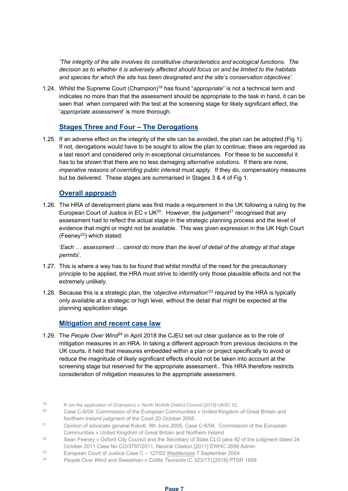*'The integrity of the site involves its constitutive characteristics and ecological functions. The decision as to whether it is adversely affected should focus on and be limited to the habitats and species for which the site has been designated and the site's conservation objectives'.*

1.24. Whilst the Supreme Court (Champion)19 has found "*appropriate*" is not a technical term and indicates no more than that the assessment should be appropriate to the task in hand, it can be seen that when compared with the test at the screening stage for likely significant effect, the '*appropriate assessment*' is more thorough.

## **Stages Three and Four – The Derogations**

1.25. If an adverse effect on the integrity of the site can be avoided, the plan can be adopted (Fig 1). If not, derogations would have to be sought to allow the plan to continue; these are regarded as a last resort and considered only in exceptional circumstances. For these to be successful it has to be shown that there are no less damaging *alternative solutions*. If there are none, *imperative reasons of overriding public interest* must apply. If they do, compensatory measures but be delivered. These stages are summarised in Stages 3 & 4 of Fig 1.

### **Overall approach**

1.26. The HRA of development plans was first made a requirement in the UK following a ruling by the European Court of Justice in EC v UK<sup>20</sup>. However, the judgement<sup>21</sup> recognised that any assessment had to reflect the actual stage in the strategic planning process and the level of evidence that might or might not be available. This was given expression in the UK High Court (Feeney<sup>22</sup>) which stated:

'*Each … assessment … cannot do more than the level of detail of the strategy at that stage permits*'.

- 1.27. This is where a way has to be found that whilst mindful of the need for the precautionary principle to be applied, the HRA must strive to identify only those plausible effects and not the extremely unlikely.
- 1.28. Because this is a strategic plan, the '*objective information*' <sup>23</sup> required by the HRA is typically only available at a strategic or high level, without the detail that might be expected at the planning application stage.

### **Mitigation and recent case law**

1.29. The *People Over Wind*<sup>24</sup> in April 2018 the CJEU set out clear guidance as to the role of mitigation measures in an HRA. In taking a different approach from previous decisions in the UK courts, it held that measures embedded within a plan or project specifically to avoid or reduce the magnitude of likely significant effects should not be taken into account at the screening stage but reserved for the appropriate assessment.. This HRA therefore restricts consideration of mitigation measures to the appropriate assessment.

- <sup>20</sup> Case C-6/04: Commission of the European Communities v United Kingdom of Great Britain and
- Northern Ireland judgment of the Court 20 October 2005.<br><sup>21</sup> Opinion of advocate general Kokott, 9th June 2005, Case C-6/04. Commission of the European Communities v United Kingdom of Great Britain and Northern Ireland
- <sup>22</sup> Sean Feeney v Oxford City Council and the Secretary of State CLG para 92 of the judgment dated 24 October 2011 Case No CO/3797/2011, Neutral Citation [2011] EWHC 2699 Admin
- <sup>23</sup> European Court of Justice Case C 127/02 *Waddenzee* 7 September 2004
- <sup>24</sup> *People Over Wind and Sweetman v Coillte Teoranta* (C 323/17) [2018] PTSR 1668

<sup>19</sup> R (on the application of Champion) v. North Norfolk District Council [2015] UKSC 52.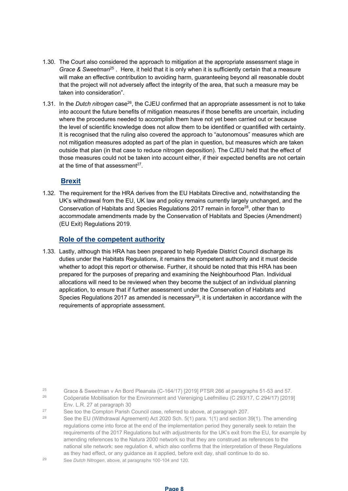- 1.30. The Court also considered the approach to mitigation at the appropriate assessment stage in *Grace & Sweetman*<sup>25</sup> . Here, it held that it is only when it is sufficiently certain that a measure will make an effective contribution to avoiding harm, guaranteeing beyond all reasonable doubt that the project will not adversely affect the integrity of the area, that such a measure may be taken into consideration".
- 1.31. In the *Dutch nitrogen* case<sup>26</sup>, the CJEU confirmed that an appropriate assessment is not to take into account the future benefits of mitigation measures if those benefits are uncertain, including where the procedures needed to accomplish them have not yet been carried out or because the level of scientific knowledge does not allow them to be identified or quantified with certainty. It is recognised that the ruling also covered the approach to "autonomous" measures which are not mitigation measures adopted as part of the plan in question, but measures which are taken outside that plan (in that case to reduce nitrogen deposition). The CJEU held that the effect of those measures could not be taken into account either, if their expected benefits are not certain at the time of that assessment $27$ .

### **Brexit**

1.32. The requirement for the HRA derives from the EU Habitats Directive and, notwithstanding the UK's withdrawal from the EU, UK law and policy remains currently largely unchanged, and the Conservation of Habitats and Species Regulations 2017 remain in force<sup>28</sup>, other than to accommodate amendments made by the Conservation of Habitats and Species (Amendment) (EU Exit) Regulations 2019.

### **Role of the competent authority**

1.33. Lastly, although this HRA has been prepared to help Ryedale District Council discharge its duties under the Habitats Regulations, it remains the competent authority and it must decide whether to adopt this report or otherwise. Further, it should be noted that this HRA has been prepared for the purposes of preparing and examining the Neighbourhood Plan. Individual allocations will need to be reviewed when they become the subject of an individual planning application, to ensure that if further assessment under the Conservation of Habitats and Species Regulations 2017 as amended is necessary<sup>29</sup>, it is undertaken in accordance with the requirements of appropriate assessment.

<sup>25</sup> Grace & Sweetman v An Bord Pleanala (C-164/17) [2019] PTSR 266 at paragraphs 51-53 and 57. <sup>26</sup> Coöperatie Mobilisation for the Environment and Vereniging Leefmilieu (C 293/17, C 294/17) [2019]

See the EU (Withdrawal Agreement) Act 2020 Sch. 5(1) para. 1(1) and section 39(1). The amending regulations come into force at the end of the implementation period they generally seek to retain the requirements of the 2017 Regulations but with adjustments for the UK's exit from the EU, for example by amending references to the Natura 2000 network so that they are construed as references to the national site network: see regulation 4, which also confirms that the interpretation of these Regulations as they had effect, or any guidance as it applied, before exit day, shall continue to do so.

<sup>29</sup> See *Dutch Nitrogen*, above, at paragraphs 100-104 and 120.

Env. L.R. 27 at paragraph 30

<sup>&</sup>lt;sup>27</sup> See too the Compton Parish Council case, referred to above, at paragraph 207.<br><sup>28</sup> See the EU (Withdrawa) Agreement) Act 2020 Seb 5(1) para 1(1) and acetion 2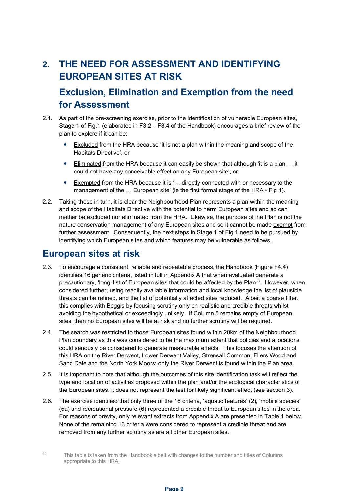# **2. THE NEED FOR ASSESSMENT AND IDENTIFYING EUROPEAN SITES AT RISK**

# **Exclusion, Elimination and Exemption from the need for Assessment**

- 2.1. As part of the pre-screening exercise, prior to the identification of vulnerable European sites, Stage 1 of Fig.1 (elaborated in F3.2 – F3.4 of the Handbook) encourages a brief review of the plan to explore if it can be:
	- Excluded from the HRA because 'it is not a plan within the meaning and scope of the Habitats Directive', or
	- Eliminated from the HRA because it can easily be shown that although 'it is a plan … it could not have any conceivable effect on any European site', or
	- Exempted from the HRA because it is '… directly connected with or necessary to the management of the … European site' (ie the first formal stage of the HRA - Fig 1).
- 2.2. Taking these in turn, it is clear the Neighbourhood Plan represents a plan within the meaning and scope of the Habitats Directive with the potential to harm European sites and so can neither be excluded nor eliminated from the HRA. Likewise, the purpose of the Plan is not the nature conservation management of any European sites and so it cannot be made exempt from further assessment.Consequently, the next steps in Stage 1 of Fig 1 need to be pursued by identifying which European sites and which features may be vulnerable as follows.

# **European sites at risk**

- 2.3. To encourage a consistent, reliable and repeatable process, the Handbook (Figure F4.4) identifies 16 generic criteria, listed in full in Appendix A that when evaluated generate a precautionary, 'long' list of European sites that could be affected by the Plan<sup>30</sup>. However, when considered further, using readily available information and local knowledge the list of plausible threats can be refined, and the list of potentially affected sites reduced. Albeit a coarse filter, this complies with Boggis by focusing scrutiny only on realistic and credible threats whilst avoiding the hypothetical or exceedingly unlikely. If Column 5 remains empty of European sites, then no European sites will be at risk and no further scrutiny will be required.
- 2.4. The search was restricted to those European sites found within 20km of the Neighbourhood Plan boundary as this was considered to be the maximum extent that policies and allocations could seriously be considered to generate measurable effects. This focuses the attention of this HRA on the River Derwent, Lower Derwent Valley, Strensall Common, Ellers Wood and Sand Dale and the North York Moors; only the River Derwent is found within the Plan area.
- 2.5. It is important to note that although the outcomes of this site identification task will reflect the type and location of activities proposed within the plan and/or the ecological characteristics of the European sites, it does not represent the test for likely significant effect (see section 3).
- 2.6. The exercise identified that only three of the 16 criteria, 'aquatic features' (2), 'mobile species' (5a) and recreational pressure (6) represented a credible threat to European sites in the area. For reasons of brevity, only relevant extracts from Appendix A are presented in Table 1 below. None of the remaining 13 criteria were considered to represent a credible threat and are removed from any further scrutiny as are all other European sites.
- 

<sup>30</sup> This table is taken from the Handbook albeit with changes to the number and titles of Columns appropriate to this HRA.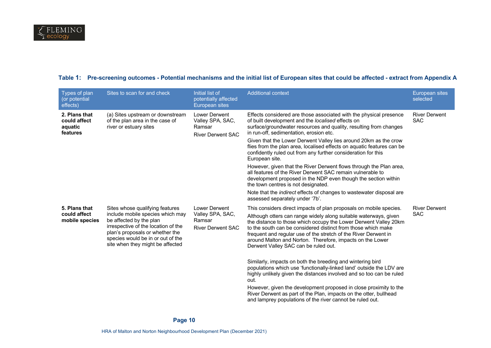| Types of plan<br>(or potential<br>effects)           | Sites to scan for and check                                                                                                                                                                                                                       | Initial list of<br>potentially affected<br>European sites               | <b>Additional context</b>                                                                                                                                                                                                                                                                                                                                                                                                                                                                                                                                                                                                                                                                                                                                                                                                                                                        | European sites<br>selected         |
|------------------------------------------------------|---------------------------------------------------------------------------------------------------------------------------------------------------------------------------------------------------------------------------------------------------|-------------------------------------------------------------------------|----------------------------------------------------------------------------------------------------------------------------------------------------------------------------------------------------------------------------------------------------------------------------------------------------------------------------------------------------------------------------------------------------------------------------------------------------------------------------------------------------------------------------------------------------------------------------------------------------------------------------------------------------------------------------------------------------------------------------------------------------------------------------------------------------------------------------------------------------------------------------------|------------------------------------|
| 2. Plans that<br>could affect<br>aquatic<br>features | (a) Sites upstream or downstream<br>of the plan area in the case of<br>river or estuary sites                                                                                                                                                     | Lower Derwent<br>Valley SPA, SAC,<br>Ramsar<br><b>River Derwent SAC</b> | Effects considered are those associated with the physical presence<br>of built development and the localised effects on<br>surface/groundwater resources and quality, resulting from changes<br>in run-off, sedimentation, erosion etc.<br>Given that the Lower Derwent Valley lies around 20km as the crow<br>flies from the plan area, localised effects on aquatic features can be<br>confidently ruled out from any further consideration for this<br>European site.<br>However, given that the River Derwent flows through the Plan area,<br>all features of the River Derwent SAC remain vulnerable to<br>development proposed in the NDP even though the section within<br>the town centres is not designated.<br>Note that the <i>indirect</i> effects of changes to wastewater disposal are<br>assessed separately under '7b'.                                          | <b>River Derwent</b><br><b>SAC</b> |
| 5. Plans that<br>could affect<br>mobile species      | Sites whose qualifying features<br>include mobile species which may<br>be affected by the plan<br>irrespective of the location of the<br>plan's proposals or whether the<br>species would be in or out of the<br>site when they might be affected | Lower Derwent<br>Valley SPA, SAC,<br>Ramsar<br><b>River Derwent SAC</b> | This considers direct impacts of plan proposals on mobile species.<br>Although otters can range widely along suitable waterways, given<br>the distance to those which occupy the Lower Derwent Valley 20km<br>to the south can be considered distinct from those which make<br>frequent and regular use of the stretch of the River Derwent in<br>around Malton and Norton. Therefore, impacts on the Lower<br>Derwent Valley SAC can be ruled out.<br>Similarly, impacts on both the breeding and wintering bird<br>populations which use 'functionally-linked land' outside the LDV are<br>highly unlikely given the distances involved and so too can be ruled<br>out.<br>However, given the development proposed in close proximity to the<br>River Derwent as part of the Plan, impacts on the otter, bullhead<br>and lamprey populations of the river cannot be ruled out. | <b>River Derwent</b><br><b>SAC</b> |

#### **Table 1: Pre-screening outcomes - Potential mechanisms and the initial list of European sites that could be affected - extract from Appendix A**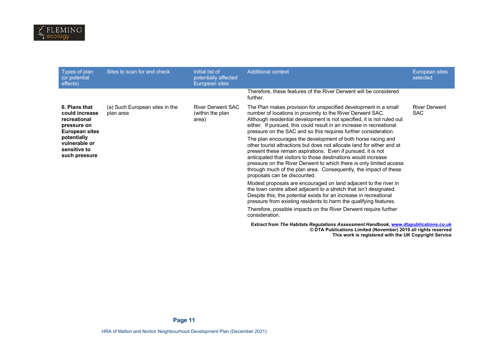| Types of plan<br>(or potential<br>effects)                                       | Sites to scan for and check                 | Initial list of<br>potentially affected<br>European sites | <b>Additional context</b>                                                                                                                                                                                                                                                                                                                                                                                                                           | European sites<br>selected         |
|----------------------------------------------------------------------------------|---------------------------------------------|-----------------------------------------------------------|-----------------------------------------------------------------------------------------------------------------------------------------------------------------------------------------------------------------------------------------------------------------------------------------------------------------------------------------------------------------------------------------------------------------------------------------------------|------------------------------------|
|                                                                                  |                                             |                                                           | Therefore, these features of the River Derwent will be considered<br>further.                                                                                                                                                                                                                                                                                                                                                                       |                                    |
| 6. Plans that<br>could increase<br>recreational<br>pressure on<br>European sites | (a) Such European sites in the<br>plan area | <b>River Derwent SAC</b><br>(within the plan)<br>area)    | The Plan makes provision for unspecified development in a small<br>number of locations in proximity to the River Derwent SAC.<br>Although residential development is not specified, it is not ruled out<br>either. If pursued, this could result in an increase in recreational<br>pressure on the SAC and so this requires further consideration.                                                                                                  | <b>River Derwent</b><br><b>SAC</b> |
| potentially<br>vulnerable or<br>sensitive to<br>such pressure                    |                                             |                                                           | The plan encourages the development of both horse racing and<br>other tourist attractions but does not allocate land for either and at<br>present these remain aspirations. Even if pursued, it is not<br>anticipated that visitors to those destinations would increase<br>pressure on the River Derwent to which there is only limited access<br>through much of the plan area. Consequently, the impact of these<br>proposals can be discounted. |                                    |
|                                                                                  |                                             |                                                           | Modest proposals are encouraged on land adjacent to the river in<br>the town centre albeit adjacent to a stretch that isn't designated.<br>Despite this, the potential exists for an increase in recreational<br>pressure from existing residents to harm the qualifying features.                                                                                                                                                                  |                                    |
|                                                                                  |                                             |                                                           | Therefore, possible impacts on the River Derwent require further<br>consideration.                                                                                                                                                                                                                                                                                                                                                                  |                                    |
|                                                                                  |                                             |                                                           | Extract from The Habitats Regulations Assessment Handbook, www.dtapublications.co.uk<br>© DTA Publications Limited (November) 2019 all rights reserved<br>This work is registered with the UK Copyright Service                                                                                                                                                                                                                                     |                                    |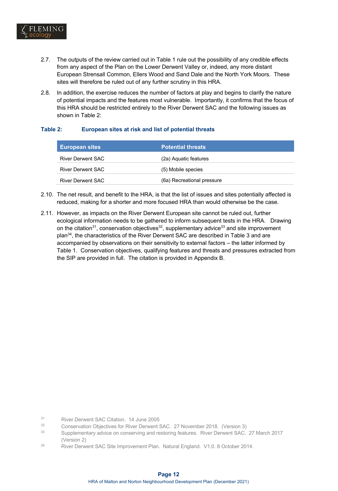

- 2.7. The outputs of the review carried out in Table 1 rule out the possibility of any credible effects from any aspect of the Plan on the Lower Derwent Valley or, indeed, any more distant European Strensall Common, Ellers Wood and Sand Dale and the North York Moors. These sites will therefore be ruled out of any further scrutiny in this HRA.
- 2.8. In addition, the exercise reduces the number of factors at play and begins to clarify the nature of potential impacts and the features most vulnerable. Importantly, it confirms that the focus of this HRA should be restricted entirely to the River Derwent SAC and the following issues as shown in Table 2:

#### **Table 2: European sites at risk and list of potential threats**

| <b>European sites</b> | <b>Potential threats</b>   |
|-----------------------|----------------------------|
| River Derwent SAC     | (2a) Aguatic features      |
| River Derwent SAC     | (5) Mobile species         |
| River Derwent SAC     | (6a) Recreational pressure |

- 2.10. The net result, and benefit to the HRA, is that the list of issues and sites potentially affected is reduced, making for a shorter and more focused HRA than would otherwise be the case.
- 2.11. However, as impacts on the River Derwent European site cannot be ruled out, further ecological information needs to be gathered to inform subsequent tests in the HRA. Drawing on the citation<sup>31</sup>, conservation objectives<sup>32</sup>, supplementary advice<sup>33</sup> and site improvement plan34, the characteristics of the River Derwent SAC are described in Table 3 and are accompanied by observations on their sensitivity to external factors – the latter informed by Table 1. Conservation objectives, qualifying features and threats and pressures extracted from the SIP are provided in full. The citation is provided in Appendix B.

- <sup>31</sup> River Derwent SAC Citation. 14 June 2005
- <sup>32</sup> Conservation Objectives for River Derwent SAC. 27 November 2018. (Version 3)
- <sup>33</sup> Supplementary advice on conserving and restoring features. River Derwent SAC. 27 March 2017 (Version 2)
- <sup>34</sup> River Derwent SAC Site Improvement Plan. Natural England. V1.0. 8 October 2014.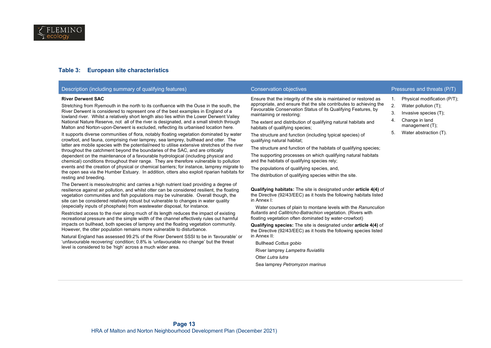#### **Table 3: European site characteristics**

| Description (including summary of qualifying features)                                                                                                                                                                                                                                                                                                                                                                                                                                                                                                                                                                                                                                                                                                                                                                                                                                                                                                                                                                                                                                                                                                                                                                                                                                                                                                                                                                                                                                                                                                                                                                                                                                                                                                                                                                                                                                                                                                                                                                                                                    | <b>Conservation objectives</b>                                                                                                                                                                                                                                                                                                                                                                                                                                                                                                                                                                                                                                                                                                                                                                                                                                                                                                                                                                                                                                                                                                                                                                                                                                        | Pressures and threats (P/T)                                                                                                                                                |
|---------------------------------------------------------------------------------------------------------------------------------------------------------------------------------------------------------------------------------------------------------------------------------------------------------------------------------------------------------------------------------------------------------------------------------------------------------------------------------------------------------------------------------------------------------------------------------------------------------------------------------------------------------------------------------------------------------------------------------------------------------------------------------------------------------------------------------------------------------------------------------------------------------------------------------------------------------------------------------------------------------------------------------------------------------------------------------------------------------------------------------------------------------------------------------------------------------------------------------------------------------------------------------------------------------------------------------------------------------------------------------------------------------------------------------------------------------------------------------------------------------------------------------------------------------------------------------------------------------------------------------------------------------------------------------------------------------------------------------------------------------------------------------------------------------------------------------------------------------------------------------------------------------------------------------------------------------------------------------------------------------------------------------------------------------------------------|-----------------------------------------------------------------------------------------------------------------------------------------------------------------------------------------------------------------------------------------------------------------------------------------------------------------------------------------------------------------------------------------------------------------------------------------------------------------------------------------------------------------------------------------------------------------------------------------------------------------------------------------------------------------------------------------------------------------------------------------------------------------------------------------------------------------------------------------------------------------------------------------------------------------------------------------------------------------------------------------------------------------------------------------------------------------------------------------------------------------------------------------------------------------------------------------------------------------------------------------------------------------------|----------------------------------------------------------------------------------------------------------------------------------------------------------------------------|
| <b>River Derwent SAC</b><br>Stretching from Ryemouth in the north to its confluence with the Ouse in the south, the<br>River Derwent is considered to represent one of the best examples in England of a<br>lowland river. Whilst a relatively short length also lies within the Lower Derwent Valley<br>National Nature Reserve, not all of the river is designated, and a small stretch through<br>Malton and Norton-upon-Derwent is excluded, reflecting its urbanised location here.<br>It supports diverse communities of flora, notably floating vegetation dominated by water<br>crowfoot, and fauna, comprising river lamprey, sea lamprey, bullhead and otter. The<br>latter are mobile species with the potential/need to utilise extensive stretches of the river<br>throughout the catchment beyond the boundaries of the SAC, and are critically<br>dependent on the maintenance of a favourable hydrological (including physical and<br>chemical) conditions throughout their range. They are therefore vulnerable to pollution<br>events and the creation of physical or chemical barriers; for instance, lamprey migrate to<br>the open sea via the Humber Estuary. In addition, otters also exploit riparian habitats for<br>resting and breeding.<br>The Derwent is meso/eutrophic and carries a high nutrient load providing a degree of<br>resilience against air pollution, and whilst otter can be considered resilient, the floating<br>vegetation communities and fish populations may be vulnerable. Overall though, the<br>site can be considered relatively robust but vulnerable to changes in water quality<br>(especially inputs of phosphate) from wastewater disposal, for instance.<br>Restricted access to the river along much of its length reduces the impact of existing<br>recreational pressure and the simple width of the channel effectively rules out harmful<br>impacts on bullhead, both species of lamprey and the floating vegetation community.<br>However, the otter population remains more vulnerable to disturbance. | Ensure that the integrity of the site is maintained or restored as<br>appropriate, and ensure that the site contributes to achieving the<br>Favourable Conservation Status of its Qualifying Features, by<br>maintaining or restoring:<br>The extent and distribution of qualifying natural habitats and<br>habitats of qualifying species;<br>The structure and function (including typical species) of<br>qualifying natural habitat;<br>The structure and function of the habitats of qualifying species;<br>The supporting processes on which qualifying natural habitats<br>and the habitats of qualifying species rely;<br>The populations of qualifying species, and,<br>The distribution of qualifying species within the site.<br><b>Qualifying habitats:</b> The site is designated under <b>article 4(4)</b> of<br>the Directive (92/43/EEC) as it hosts the following habitats listed<br>in Annex I:<br>Water courses of plain to montane levels with the Ranunculion<br>fluitantis and Callitricho-Batrachion vegetation. (Rivers with<br>floating vegetation often dominated by water-crowfoot)<br><b>Qualifying species:</b> The site is designated under <b>article 4(4)</b> of<br>the Directive (92/43/EEC) as it hosts the following species listed | Physical modification (P/T);<br>1.<br>Water pollution (T);<br>2.<br>3.<br>Invasive species (T);<br>Change in land<br>4.<br>management (T);<br>Water abstraction (T).<br>5. |
| Natural England has assessed 99.2% of the River Derwent SSSI to be in 'favourable' or<br>'unfavourable recovering' condition; 0.8% is 'unfavourable no change' but the threat<br>level is considered to be 'high' across a much wider area.                                                                                                                                                                                                                                                                                                                                                                                                                                                                                                                                                                                                                                                                                                                                                                                                                                                                                                                                                                                                                                                                                                                                                                                                                                                                                                                                                                                                                                                                                                                                                                                                                                                                                                                                                                                                                               | in Annex II:<br><b>Bullhead Cottus gobio</b>                                                                                                                                                                                                                                                                                                                                                                                                                                                                                                                                                                                                                                                                                                                                                                                                                                                                                                                                                                                                                                                                                                                                                                                                                          |                                                                                                                                                                            |
|                                                                                                                                                                                                                                                                                                                                                                                                                                                                                                                                                                                                                                                                                                                                                                                                                                                                                                                                                                                                                                                                                                                                                                                                                                                                                                                                                                                                                                                                                                                                                                                                                                                                                                                                                                                                                                                                                                                                                                                                                                                                           | River lamprey Lampetra fluviatilis                                                                                                                                                                                                                                                                                                                                                                                                                                                                                                                                                                                                                                                                                                                                                                                                                                                                                                                                                                                                                                                                                                                                                                                                                                    |                                                                                                                                                                            |
|                                                                                                                                                                                                                                                                                                                                                                                                                                                                                                                                                                                                                                                                                                                                                                                                                                                                                                                                                                                                                                                                                                                                                                                                                                                                                                                                                                                                                                                                                                                                                                                                                                                                                                                                                                                                                                                                                                                                                                                                                                                                           | Otter Lutra lutra<br>Sea lamprey Petromyzon marinus                                                                                                                                                                                                                                                                                                                                                                                                                                                                                                                                                                                                                                                                                                                                                                                                                                                                                                                                                                                                                                                                                                                                                                                                                   |                                                                                                                                                                            |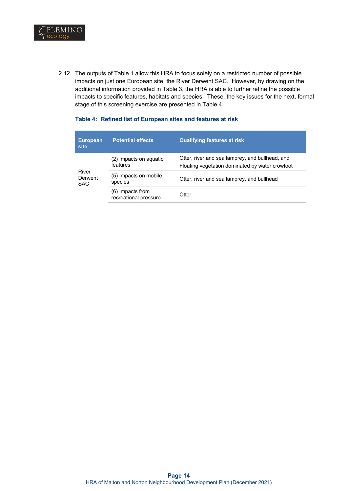

2.12. The outputs of Table 1 allow this HRA to focus solely on a restricted number of possible impacts on just one European site: the River Derwent SAC. However, by drawing on the additional information provided in Table 3, the HRA is able to further refine the possible impacts to specific features, habitats and species. These, the key issues for the next, formal stage of this screening exercise are presented in Table 4.

#### **Table 4: Refined list of European sites and features at risk**

| <b>European</b><br><b>site</b> | <b>Potential effects</b>                  | <b>Qualifying features at risk</b>                                                                 |
|--------------------------------|-------------------------------------------|----------------------------------------------------------------------------------------------------|
|                                | (2) Impacts on aquatic<br>features        | Otter, river and sea lamprey, and bullhead, and<br>Floating vegetation dominated by water crowfoot |
| River<br>Derwent<br><b>SAC</b> | (5) Impacts on mobile<br>species          | Otter, river and sea lamprey, and bullhead                                                         |
|                                | (6) Impacts from<br>recreational pressure | Otter                                                                                              |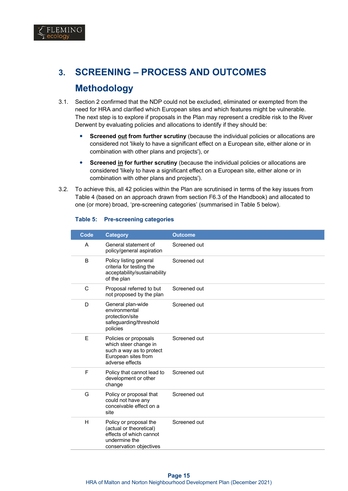

# **3. SCREENING – PROCESS AND OUTCOMES Methodology**

- 3.1. Section 2 confirmed that the NDP could not be excluded, eliminated or exempted from the need for HRA and clarified which European sites and which features might be vulnerable. The next step is to explore if proposals in the Plan may represent a credible risk to the River Derwent by evaluating policies and allocations to identify if they should be:
	- **Screened out from further scrutiny** (because the individual policies or allocations are considered not 'likely to have a significant effect on a European site, either alone or in combination with other plans and projects'), or
	- **Screened in for further scrutiny** (because the individual policies or allocations are considered 'likely to have a significant effect on a European site, either alone or in combination with other plans and projects').
- 3.2. To achieve this, all 42 policies within the Plan are scrutinised in terms of the key issues from Table 4 (based on an approach drawn from section F6.3 of the Handbook) and allocated to one (or more) broad, 'pre-screening categories' (summarised in Table 5 below).

| Code | <b>Category</b>                                                                                                          | <b>Outcome</b> |
|------|--------------------------------------------------------------------------------------------------------------------------|----------------|
| A    | General statement of<br>policy/general aspiration                                                                        | Screened out   |
| B    | Policy listing general<br>criteria for testing the<br>acceptability/sustainability<br>of the plan                        | Screened out   |
| C    | Proposal referred to but<br>not proposed by the plan                                                                     | Screened out   |
| D    | General plan-wide<br>environmental<br>protection/site<br>safeguarding/threshold<br>policies                              | Screened out   |
| Е    | Policies or proposals<br>which steer change in<br>such a way as to protect<br>European sites from<br>adverse effects     | Screened out   |
| F    | Policy that cannot lead to<br>development or other<br>change                                                             | Screened out   |
| G    | Policy or proposal that<br>could not have any<br>conceivable effect on a<br>site                                         | Screened out   |
| H    | Policy or proposal the<br>(actual or theoretical)<br>effects of which cannot<br>undermine the<br>conservation objectives | Screened out   |

#### **Table 5: Pre-screening categories**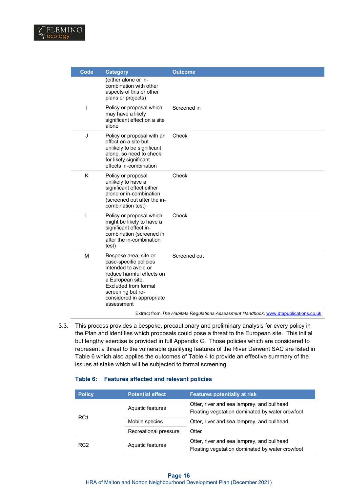

| <b>Code</b> | <b>Category</b>                                                                                                                                                                                                  | <b>Outcome</b> |
|-------------|------------------------------------------------------------------------------------------------------------------------------------------------------------------------------------------------------------------|----------------|
|             | (either alone or in-<br>combination with other<br>aspects of this or other<br>plans or projects)                                                                                                                 |                |
| T           | Policy or proposal which<br>may have a likely<br>significant effect on a site<br>alone                                                                                                                           | Screened in    |
| J           | Policy or proposal with an<br>effect on a site but<br>unlikely to be significant<br>alone, so need to check<br>for likely significant<br>effects in-combination                                                  | Check          |
| K           | Policy or proposal<br>unlikely to have a<br>significant effect either<br>alone or in-combination<br>(screened out after the in-<br>combination test)                                                             | Check          |
| L           | Policy or proposal which<br>might be likely to have a<br>significant effect in-<br>combination (screened in<br>after the in-combination<br>test)                                                                 | Check          |
| M           | Bespoke area, site or<br>case-specific policies<br>intended to avoid or<br>reduce harmful effects on<br>a European site.<br>Excluded from formal<br>screening but re-<br>considered in appropriate<br>assessment | Screened out   |

Extract from *The Habitats Regulations Assessment Handbook,* www.dtapublications.co.uk

3.3. This process provides a bespoke, precautionary and preliminary analysis for every policy in the Plan and identifies which proposals could pose a threat to the European site. This initial but lengthy exercise is provided in full Appendix C. Those policies which are considered to represent a threat to the vulnerable qualifying features of the River Derwent SAC are listed in Table 6 which also applies the outcomes of Table 4 to provide an effective summary of the issues at stake which will be subjected to formal screening.

#### **Table 6: Features affected and relevant policies**

| <b>Policy</b>   | <b>Potential effect</b> | <b>Features potentially at risk</b>                                                           |
|-----------------|-------------------------|-----------------------------------------------------------------------------------------------|
| RC <sub>1</sub> | Aquatic features        | Otter, river and sea lamprey, and bullhead<br>Floating vegetation dominated by water crowfoot |
|                 | Mobile species          | Otter, river and sea lamprey, and bullhead                                                    |
|                 | Recreational pressure   | Otter                                                                                         |
| RC <sub>2</sub> | Aquatic features        | Otter, river and sea lamprey, and bullhead<br>Floating vegetation dominated by water crowfoot |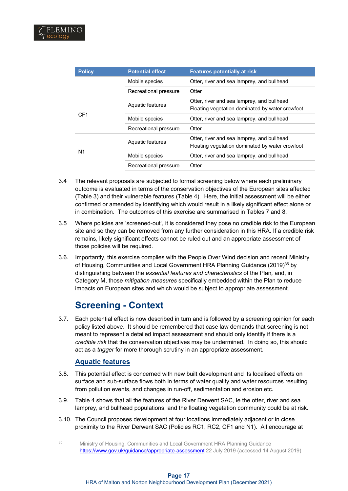| <b>Policy</b>   | <b>Potential effect</b> | <b>Features potentially at risk</b>                                                           |
|-----------------|-------------------------|-----------------------------------------------------------------------------------------------|
|                 | Mobile species          | Otter, river and sea lamprey, and bullhead                                                    |
|                 | Recreational pressure   | Otter                                                                                         |
| CF <sub>1</sub> | Aquatic features        | Otter, river and sea lamprey, and bullhead<br>Floating vegetation dominated by water crowfoot |
|                 | Mobile species          | Otter, river and sea lamprey, and bullhead                                                    |
|                 | Recreational pressure   | Otter                                                                                         |
|                 | Aquatic features        | Otter, river and sea lamprey, and bullhead<br>Floating vegetation dominated by water crowfoot |
| N1              | Mobile species          | Otter, river and sea lamprey, and bullhead                                                    |
|                 | Recreational pressure   | Otter                                                                                         |

- 3.4 The relevant proposals are subjected to formal screening below where each preliminary outcome is evaluated in terms of the conservation objectives of the European sites affected (Table 3) and their vulnerable features (Table 4). Here, the initial assessment will be either confirmed or amended by identifying which would result in a likely significant effect alone or in combination. The outcomes of this exercise are summarised in Tables 7 and 8.
- 3.5 Where policies are 'screened-out', it is considered they pose no credible risk to the European site and so they can be removed from any further consideration in this HRA. If a credible risk remains, likely significant effects cannot be ruled out and an appropriate assessment of those policies will be required.
- 3.6. Importantly, this exercise complies with the People Over Wind decision and recent Ministry of Housing, Communities and Local Government HRA Planning Guidance (2019)<sup>35</sup> by distinguishing between the *essential features and characteristics* of the Plan*,* and, in Category M, those *mitigation measures* specifically embedded within the Plan to reduce impacts on European sites and which would be subject to appropriate assessment.

# **Screening - Context**

3.7. Each potential effect is now described in turn and is followed by a screening opinion for each policy listed above. It should be remembered that case law demands that screening is not meant to represent a detailed impact assessment and should only identify if there is a *credible risk* that the conservation objectives may be undermined. In doing so, this should act as a *trigger* for more thorough scrutiny in an appropriate assessment.

## **Aquatic features**

- 3.8. This potential effect is concerned with new built development and its localised effects on surface and sub-surface flows both in terms of water quality and water resources resulting from pollution events, and changes in run-off, sedimentation and erosion etc.
- 3.9. Table 4 shows that all the features of the River Derwent SAC, ie the otter, river and sea lamprey, and bullhead populations, and the floating vegetation community could be at risk.
- 3.10. The Council proposes development at four locations immediately adjacent or in close proximity to the River Derwent SAC (Policies RC1, RC2, CF1 and N1). All encourage at
- <sup>35</sup> Ministry of Housing, Communities and Local Government HRA Planning Guidance https://www.gov.uk/guidance/appropriate-assessment 22 July 2019 (accessed 14 August 2019)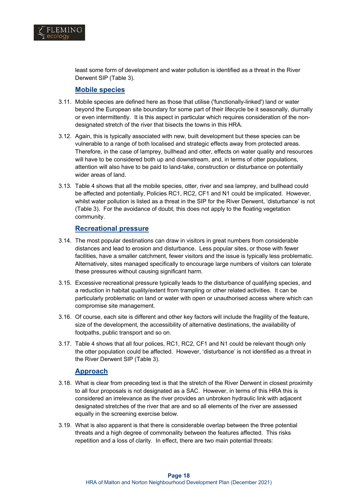

least some form of development and water pollution is identified as a threat in the River Derwent SIP (Table 3).

#### **Mobile species**

- 3.11. Mobile species are defined here as those that utilise ('functionally-linked') land or water beyond the European site boundary for some part of their lifecycle be it seasonally, diurnally or even intermittently. It is this aspect in particular which requires consideration of the nondesignated stretch of the river that bisects the towns in this HRA.
- 3.12. Again, this is typically associated with new, built development but these species can be vulnerable to a range of both localised and strategic effects away from protected areas. Therefore, in the case of lamprey, bullhead and otter, effects on water quality and resources will have to be considered both up and downstream, and, in terms of otter populations, attention will also have to be paid to land-take, construction or disturbance on potentially wider areas of land.
- 3.13. Table 4 shows that all the mobile species, otter, river and sea lamprey, and bullhead could be affected and potentially, Policies RC1, RC2, CF1 and N1 could be implicated. However, whilst water pollution is listed as a threat in the SIP for the River Derwent, 'disturbance' is not (Table 3). For the avoidance of doubt, this does not apply to the floating vegetation community.

#### **Recreational pressure**

- 3.14. The most popular destinations can draw in visitors in great numbers from considerable distances and lead to erosion and disturbance. Less popular sites, or those with fewer facilities, have a smaller catchment, fewer visitors and the issue is typically less problematic. Alternatively, sites managed specifically to encourage large numbers of visitors can tolerate these pressures without causing significant harm.
- 3.15. Excessive recreational pressure typically leads to the disturbance of qualifying species, and a reduction in habitat quality/extent from trampling or other related activities. It can be particularly problematic on land or water with open or unauthorised access where which can compromise site management.
- 3.16. Of course, each site is different and other key factors will include the fragility of the feature, size of the development, the accessibility of alternative destinations, the availability of footpaths, public transport and so on.
- 3.17. Table 4 shows that all four polices, RC1, RC2, CF1 and N1 could be relevant though only the otter population could be affected. However, 'disturbance' is not identified as a threat in the River Derwent SIP (Table 3).

#### **Approach**

- 3.18. What is clear from preceding text is that the stretch of the River Derwent in closest proximity to all four proposals is not designated as a SAC. However, in terms of this HRA this is considered an irrelevance as the river provides an unbroken hydraulic link with adjacent designated stretches of the river that are and so all elements of the river are assessed equally in the screening exercise below.
- 3.19. What is also apparent is that there is considerable overlap between the three potential threats and a high degree of commonality between the features affected. This risks repetition and a loss of clarity. In effect, there are two main potential threats: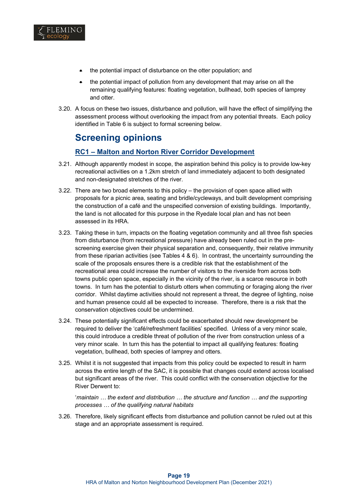

- the potential impact of disturbance on the otter population; and
- the potential impact of pollution from any development that may arise on all the remaining qualifying features: floating vegetation, bullhead, both species of lamprey and otter.
- 3.20. A focus on these two issues, disturbance and pollution, will have the effect of simplifying the assessment process without overlooking the impact from any potential threats. Each policy identified in Table 6 is subject to formal screening below.

# **Screening opinions**

### **RC1 – Malton and Norton River Corridor Development**

- 3.21. Although apparently modest in scope, the aspiration behind this policy is to provide low-key recreational activities on a 1.2km stretch of land immediately adjacent to both designated and non-designated stretches of the river.
- 3.22. There are two broad elements to this policy the provision of open space allied with proposals for a picnic area, seating and bridle/cycleways, and built development comprising the construction of a café and the unspecified conversion of existing buildings. Importantly, the land is not allocated for this purpose in the Ryedale local plan and has not been assessed in its HRA.
- 3.23. Taking these in turn, impacts on the floating vegetation community and all three fish species from disturbance (from recreational pressure) have already been ruled out in the prescreening exercise given their physical separation and, consequently, their relative immunity from these riparian activities (see Tables 4 & 6). In contrast, the uncertainty surrounding the scale of the proposals ensures there is a credible risk that the establishment of the recreational area could increase the number of visitors to the riverside from across both towns public open space, especially in the vicinity of the river, is a scarce resource in both towns. In turn has the potential to disturb otters when commuting or foraging along the river corridor. Whilst daytime activities should not represent a threat, the degree of lighting, noise and human presence could all be expected to increase. Therefore, there is a risk that the conservation objectives could be undermined.
- 3.24. These potentially significant effects could be exacerbated should new development be required to deliver the 'café/refreshment facilities' specified. Unless of a very minor scale, this could introduce a credible threat of pollution of the river from construction unless of a very minor scale. In turn this has the potential to impact all qualifying features: floating vegetation, bullhead, both species of lamprey and otters.
- 3.25. Whilst it is not suggested that impacts from this policy could be expected to result in harm across the entire length of the SAC, it is possible that changes could extend across localised but significant areas of the river. This could conflict with the conservation objective for the River Derwent to:

'*maintain … the extent and distribution … the structure and function … and the supporting processes … of the qualifying natural habitats*

3.26. Therefore, likely significant effects from disturbance and pollution cannot be ruled out at this stage and an appropriate assessment is required.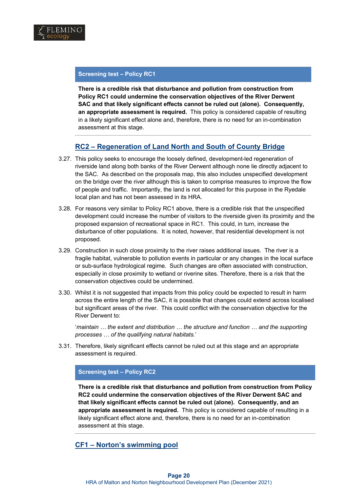

#### **Screening test – Policy RC1**

**There is a credible risk that disturbance and pollution from construction from Policy RC1 could undermine the conservation objectives of the River Derwent SAC and that likely significant effects cannot be ruled out (alone). Consequently, an appropriate assessment is required.** This policy is considered capable of resulting in a likely significant effect alone and, therefore, there is no need for an in-combination assessment at this stage.

### **RC2 – Regeneration of Land North and South of County Bridge**

- 3.27. This policy seeks to encourage the loosely defined, development-led regeneration of riverside land along both banks of the River Derwent although none lie directly adjacent to the SAC. As described on the proposals map, this also includes unspecified development on the bridge over the river although this is taken to comprise measures to improve the flow of people and traffic. Importantly, the land is not allocated for this purpose in the Ryedale local plan and has not been assessed in its HRA.
- 3.28. For reasons very similar to Policy RC1 above, there is a credible risk that the unspecified development could increase the number of visitors to the riverside given its proximity and the proposed expansion of recreational space in RC1. This could, in turn, increase the disturbance of otter populations. It is noted, however, that residential development is not proposed.
- 3.29. Construction in such close proximity to the river raises additional issues. The river is a fragile habitat, vulnerable to pollution events in particular or any changes in the local surface or sub-surface hydrological regime. Such changes are often associated with construction, especially in close proximity to wetland or riverine sites. Therefore, there is a risk that the conservation objectives could be undermined.
- 3.30. Whilst it is not suggested that impacts from this policy could be expected to result in harm across the entire length of the SAC, it is possible that changes could extend across localised but significant areas of the river. This could conflict with the conservation objective for the River Derwent to:

'*maintain … the extent and distribution … the structure and function … and the supporting processes … of the qualifying natural habitats.*'

3.31. Therefore, likely significant effects cannot be ruled out at this stage and an appropriate assessment is required.

#### **Screening test – Policy RC2**

**There is a credible risk that disturbance and pollution from construction from Policy RC2 could undermine the conservation objectives of the River Derwent SAC and that likely significant effects cannot be ruled out (alone). Consequently, and an appropriate assessment is required.** This policy is considered capable of resulting in a likely significant effect alone and, therefore, there is no need for an in-combination assessment at this stage.

### **CF1 – Norton's swimming pool**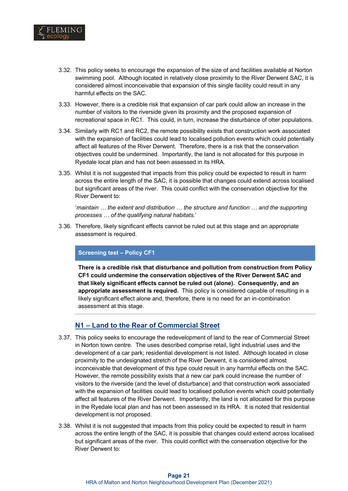

- 3.32. This policy seeks to encourage the expansion of the size of and facilities available at Norton swimming pool. Although located in relatively close proximity to the River Derwent SAC, it is considered almost inconceivable that expansion of this single facility could result in any harmful effects on the SAC.
- 3.33. However, there is a credible risk that expansion of car park could allow an increase in the number of visitors to the riverside given its proximity and the proposed expansion of recreational space in RC1. This could, in turn, increase the disturbance of otter populations.
- 3.34. Similarly with RC1 and RC2, the remote possibility exists that construction work associated with the expansion of facilities could lead to localised pollution events which could potentially affect all features of the River Derwent. Therefore, there is a risk that the conservation objectives could be undermined. Importantly, the land is not allocated for this purpose in Ryedale local plan and has not been assessed in its HRA.
- 3.35. Whilst it is not suggested that impacts from this policy could be expected to result in harm across the entire length of the SAC, it is possible that changes could extend across localised but significant areas of the river. This could conflict with the conservation objective for the River Derwent to:

'*maintain … the extent and distribution … the structure and function … and the supporting processes … of the qualifying natural habitats.*'

3.36. Therefore, likely significant effects cannot be ruled out at this stage and an appropriate assessment is required.

#### **Screening test – Policy CF1**

**There is a credible risk that disturbance and pollution from construction from Policy CF1 could undermine the conservation objectives of the River Derwent SAC and that likely significant effects cannot be ruled out (alone). Consequently, and an appropriate assessment is required.** This policy is considered capable of resulting in a likely significant effect alone and, therefore, there is no need for an in-combination assessment at this stage.

### **N1 – Land to the Rear of Commercial Street**

- 3.37. This policy seeks to encourage the redevelopment of land to the rear of Commercial Street in Norton town centre. The uses described comprise retail, light industrial uses and the development of a car park; residential development is not listed. Although located in close proximity to the undesignated stretch of the River Derwent, it is considered almost inconceivable that development of this type could result in any harmful effects on the SAC. However, the remote possibility exists that a new car park could increase the number of visitors to the riverside (and the level of disturbance) and that construction work associated with the expansion of facilities could lead to localised pollution events which could potentially affect all features of the River Derwent. Importantly, the land is not allocated for this purpose in the Ryedale local plan and has not been assessed in its HRA. It is noted that residential development is not proposed.
- 3.38. Whilst it is not suggested that impacts from this policy could be expected to result in harm across the entire length of the SAC, it is possible that changes could extend across localised but significant areas of the river. This could conflict with the conservation objective for the River Derwent to: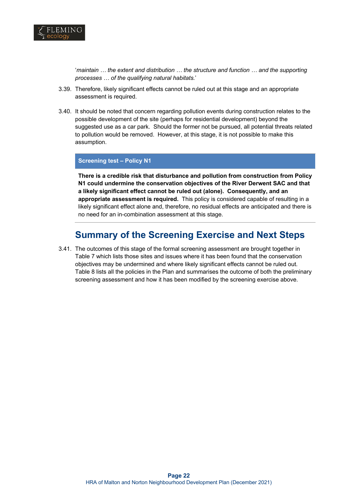

'*maintain … the extent and distribution … the structure and function … and the supporting processes … of the qualifying natural habitats.*'

- 3.39. Therefore, likely significant effects cannot be ruled out at this stage and an appropriate assessment is required.
- 3.40. It should be noted that concern regarding pollution events during construction relates to the possible development of the site (perhaps for residential development) beyond the suggested use as a car park. Should the former not be pursued, all potential threats related to pollution would be removed. However, at this stage, it is not possible to make this assumption.

#### **Screening test – Policy N1**

**There is a credible risk that disturbance and pollution from construction from Policy N1 could undermine the conservation objectives of the River Derwent SAC and that a likely significant effect cannot be ruled out (alone). Consequently, and an appropriate assessment is required.** This policy is considered capable of resulting in a likely significant effect alone and, therefore, no residual effects are anticipated and there is no need for an in-combination assessment at this stage.

# **Summary of the Screening Exercise and Next Steps**

3.41. The outcomes of this stage of the formal screening assessment are brought together in Table 7 which lists those sites and issues where it has been found that the conservation objectives may be undermined and where likely significant effects cannot be ruled out. Table 8 lists all the policies in the Plan and summarises the outcome of both the preliminary screening assessment and how it has been modified by the screening exercise above.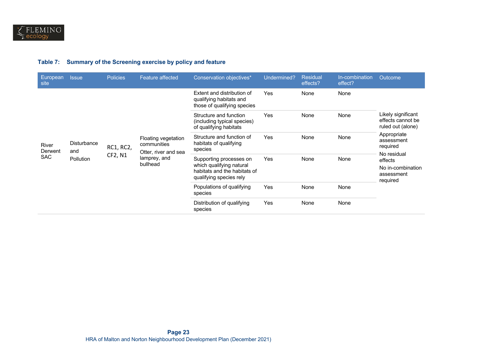### **Table 7: Summary of the Screening exercise by policy and feature**

| European<br>site                                                         | <b>Issue</b> | <b>Policies</b>          | <b>Feature affected</b>                                                                                        | Conservation objectives*                                                             | Undermined? | Residual<br>effects? | In-combination<br>effect?                                    | Outcome                                              |
|--------------------------------------------------------------------------|--------------|--------------------------|----------------------------------------------------------------------------------------------------------------|--------------------------------------------------------------------------------------|-------------|----------------------|--------------------------------------------------------------|------------------------------------------------------|
| <b>Disturbance</b><br>River<br>Derwent<br>and<br><b>SAC</b><br>Pollution |              |                          |                                                                                                                | Extent and distribution of<br>qualifying habitats and<br>those of qualifying species | Yes         | None                 | None                                                         |                                                      |
|                                                                          |              |                          | Structure and function<br>(including typical species)<br>of qualifying habitats                                | Yes                                                                                  | None        | None                 | Likely significant<br>effects cannot be<br>ruled out (alone) |                                                      |
|                                                                          |              | RC1, RC2,                | Floating vegetation<br>communities<br>Otter, river and sea                                                     | Structure and function of<br>habitats of qualifying<br>species                       | Yes         | None                 | None                                                         | Appropriate<br>assessment<br>required<br>No residual |
|                                                                          | CF2, N1      | lamprey, and<br>bullhead | Supporting processes on<br>which qualifying natural<br>habitats and the habitats of<br>qualifying species rely | Yes                                                                                  | None        | None                 | effects<br>No in-combination<br>assessment<br>required       |                                                      |
|                                                                          |              |                          | Populations of qualifying<br>species                                                                           | Yes                                                                                  | None        | None                 |                                                              |                                                      |
|                                                                          |              |                          |                                                                                                                | Distribution of qualifying<br>species                                                | Yes         | None                 | None                                                         |                                                      |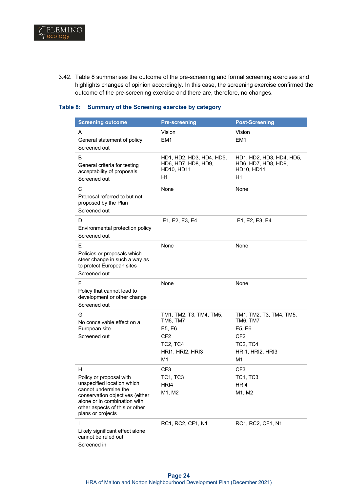

3.42. Table 8 summarises the outcome of the pre-screening and formal screening exercises and highlights changes of opinion accordingly. In this case, the screening exercise confirmed the outcome of the pre-screening exercise and there are, therefore, no changes.

#### **Table 8: Summary of the Screening exercise by category**

| <b>Screening outcome</b>                                                                                                                                                                                     | <b>Pre-screening</b>                                                                                   | <b>Post-Screening</b>                                                                                  |
|--------------------------------------------------------------------------------------------------------------------------------------------------------------------------------------------------------------|--------------------------------------------------------------------------------------------------------|--------------------------------------------------------------------------------------------------------|
| A<br>General statement of policy<br>Screened out                                                                                                                                                             | Vision<br>EM <sub>1</sub>                                                                              | Vision<br>EM <sub>1</sub>                                                                              |
| в<br>General criteria for testing<br>acceptability of proposals<br>Screened out                                                                                                                              | HD1, HD2, HD3, HD4, HD5,<br>HD6, HD7, HD8, HD9,<br>HD10, HD11<br>H1                                    | HD1, HD2, HD3, HD4, HD5,<br>HD6, HD7, HD8, HD9,<br><b>HD10, HD11</b><br>H1                             |
| C<br>Proposal referred to but not<br>proposed by the Plan<br>Screened out                                                                                                                                    | None                                                                                                   | None                                                                                                   |
| D<br>Environmental protection policy<br>Screened out                                                                                                                                                         | E1, E2, E3, E4                                                                                         | E1, E2, E3, E4                                                                                         |
| Е<br>Policies or proposals which<br>steer change in such a way as<br>to protect European sites<br>Screened out                                                                                               | None                                                                                                   | None                                                                                                   |
| F<br>Policy that cannot lead to<br>development or other change<br>Screened out                                                                                                                               | None                                                                                                   | None                                                                                                   |
| G<br>No conceivable effect on a<br>European site<br>Screened out                                                                                                                                             | TM1, TM2, T3, TM4, TM5,<br>TM6, TM7<br>E5, E6<br>CF <sub>2</sub><br>TC2, TC4<br>HRI1, HRI2, HRI3<br>M1 | TM1, TM2, T3, TM4, TM5,<br>TM6, TM7<br>E5, E6<br>CF <sub>2</sub><br>TC2, TC4<br>HRI1, HRI2, HRI3<br>M1 |
| н<br>Policy or proposal with<br>unspecified location which<br>cannot undermine the<br>conservation objectives (either<br>alone or in combination with<br>other aspects of this or other<br>plans or projects | CF <sub>3</sub><br><b>TC1, TC3</b><br>HRI4<br>M1, M2                                                   | CF <sub>3</sub><br><b>TC1, TC3</b><br>HRI4<br>M1, M2                                                   |
| L<br>Likely significant effect alone<br>cannot be ruled out<br>Screened in                                                                                                                                   | RC1, RC2, CF1, N1                                                                                      | RC1, RC2, CF1, N1                                                                                      |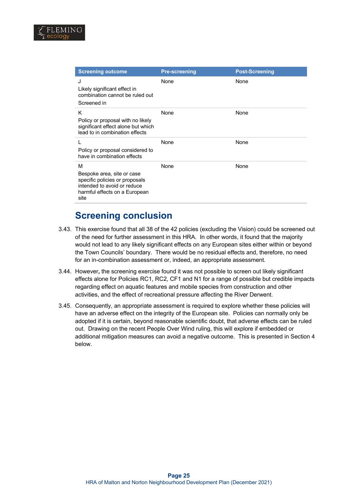

| <b>Screening outcome</b>                                                                                                                  | <b>Pre-screening</b> | <b>Post-Screening</b> |
|-------------------------------------------------------------------------------------------------------------------------------------------|----------------------|-----------------------|
| J<br>Likely significant effect in<br>combination cannot be ruled out<br>Screened in                                                       | None                 | None                  |
| K<br>Policy or proposal with no likely<br>significant effect alone but which<br>lead to in combination effects                            | None                 | None                  |
| Policy or proposal considered to<br>have in combination effects                                                                           | None                 | None                  |
| м<br>Bespoke area, site or case<br>specific policies or proposals<br>intended to avoid or reduce<br>harmful effects on a European<br>site | None                 | None                  |

# **Screening conclusion**

- 3.43. This exercise found that all 38 of the 42 policies (excluding the Vision) could be screened out of the need for further assessment in this HRA. In other words, it found that the majority would not lead to any likely significant effects on any European sites either within or beyond the Town Councils' boundary. There would be no residual effects and, therefore, no need for an in-combination assessment or, indeed, an appropriate assessment.
- 3.44. However**,** the screening exercise found it was not possible to screen out likely significant effects alone for Policies RC1, RC2, CF1 and N1 for a range of possible but credible impacts regarding effect on aquatic features and mobile species from construction and other activities, and the effect of recreational pressure affecting the River Derwent.
- 3.45. Consequently, an appropriate assessment is required to explore whether these policies will have an adverse effect on the integrity of the European site. Policies can normally only be adopted if it is certain, beyond reasonable scientific doubt, that adverse effects can be ruled out. Drawing on the recent People Over Wind ruling, this will explore if embedded or additional mitigation measures can avoid a negative outcome. This is presented in Section 4 below.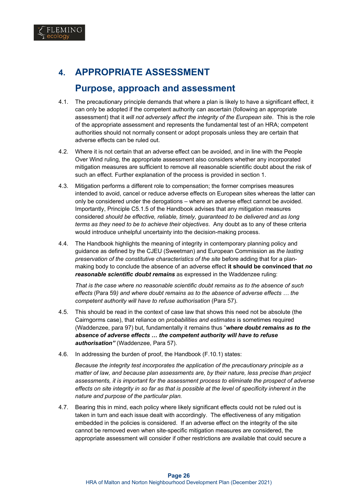

# **4. APPROPRIATE ASSESSMENT**

# **Purpose, approach and assessment**

- 4.1. The precautionary principle demands that where a plan is likely to have a significant effect, it can only be adopted if the competent authority can ascertain (following an appropriate assessment) that it *will not adversely affect the integrity of the European site*. This is the role of the appropriate assessment and represents the fundamental test of an HRA; competent authorities should not normally consent or adopt proposals unless they are certain that adverse effects can be ruled out.
- 4.2. Where it is not certain that an adverse effect can be avoided, and in line with the People Over Wind ruling, the appropriate assessment also considers whether any incorporated mitigation measures are sufficient to remove all reasonable scientific doubt about the risk of such an effect. Further explanation of the process is provided in section 1.
- 4.3. Mitigation performs a different role to compensation; the former comprises measures intended to avoid, cancel or reduce adverse effects on European sites whereas the latter can only be considered under the derogations – where an adverse effect cannot be avoided. Importantly, Principle C5.1.5 of the Handbook advises that any mitigation measures considered *should be effective, reliable, timely, guaranteed to be delivered and as long terms as they need to be to achieve their objectives*. Any doubt as to any of these criteria would introduce unhelpful uncertainty into the decision-making process.
- 4.4. The Handbook highlights the meaning of integrity in contemporary planning policy and guidance as defined by the CJEU (Sweetman) and European Commission as *the lasting preservation of the constitutive characteristics of the site* before adding that for a planmaking body to conclude the absence of an adverse effect **it should be convinced that** *no reasonable scientific doubt remains* as expressed in the Waddenzee ruling:

*That is the case where no reasonable scientific doubt remains as to the absence of such effects* (Para 59*) and where doubt remains as to the absence of adverse effects … the competent authority will have to refuse authorisation* (Para 57).

- 4.5. This should be read in the context of case law that shows this need not be absolute (the Cairngorms case), that reliance on *probabilities and estimates* is sometimes required (Waddenzee, para 97) but, fundamentally it remains thus "*where doubt remains as to the absence of adverse effects … the competent authority will have to refuse authorisation"* (Waddenzee, Para 57).
- 4.6. In addressing the burden of proof, the Handbook (F.10.1) states:

*Because the integrity test incorporates the application of the precautionary principle as a matter of law, and because plan assessments are, by their nature, less precise than project assessments, it is important for the assessment process to eliminate the prospect of adverse effects on site integrity in so far as that is possible at the level of specificity inherent in the nature and purpose of the particular plan.*

4.7. Bearing this in mind, each policy where likely significant effects could not be ruled out is taken in turn and each issue dealt with accordingly. The effectiveness of any mitigation embedded in the policies is considered. If an adverse effect on the integrity of the site cannot be removed even when site-specific mitigation measures are considered, the appropriate assessment will consider if other restrictions are available that could secure a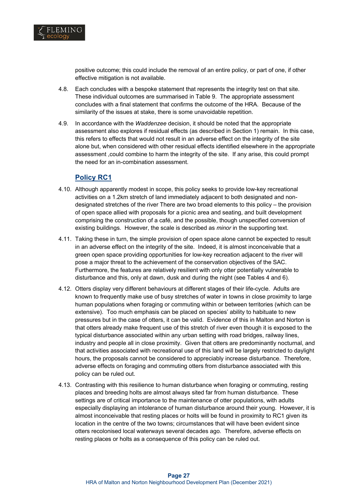

positive outcome; this could include the removal of an entire policy, or part of one, if other effective mitigation is not available.

- 4.8. Each concludes with a bespoke statement that represents the integrity test on that site. These individual outcomes are summarised in Table 9. The appropriate assessment concludes with a final statement that confirms the outcome of the HRA. Because of the similarity of the issues at stake, there is some unavoidable repetition.
- 4.9. In accordance with the *Waddenzee* decision, it should be noted that the appropriate assessment also explores if residual effects (as described in Section 1) remain. In this case, this refers to effects that would not result in an adverse effect on the integrity of the site alone but, when considered with other residual effects identified elsewhere in the appropriate assessment ,could combine to harm the integrity of the site. If any arise, this could prompt the need for an in-combination assessment.

### **Policy RC1**

- 4.10. Although apparently modest in scope, this policy seeks to provide low-key recreational activities on a 1.2km stretch of land immediately adjacent to both designated and nondesignated stretches of the river There are two broad elements to this policy – the provision of open space allied with proposals for a picnic area and seating, and built development comprising the construction of a café, and the possible, though unspecified conversion of existing buildings. However, the scale is described as *minor* in the supporting text.
- 4.11. Taking these in turn, the simple provision of open space alone cannot be expected to result in an adverse effect on the integrity of the site. Indeed, it is almost inconceivable that a green open space providing opportunities for low-key recreation adjacent to the river will pose a major threat to the achievement of the conservation objectives of the SAC. Furthermore, the features are relatively resilient with only otter potentially vulnerable to disturbance and this, only at dawn, dusk and during the night (see Tables 4 and 6).
- 4.12. Otters display very different behaviours at different stages of their life-cycle. Adults are known to frequently make use of busy stretches of water in towns in close proximity to large human populations when foraging or commuting within or between territories (which can be extensive). Too much emphasis can be placed on species' ability to habituate to new pressures but in the case of otters, it can be valid. Evidence of this in Malton and Norton is that otters already make frequent use of this stretch of river even though it is exposed to the typical disturbance associated within any urban setting with road bridges, railway lines, industry and people all in close proximity. Given that otters are predominantly nocturnal, and that activities associated with recreational use of this land will be largely restricted to daylight hours, the proposals cannot be considered to appreciably increase disturbance. Therefore, adverse effects on foraging and commuting otters from disturbance associated with this policy can be ruled out.
- 4.13. Contrasting with this resilience to human disturbance when foraging or commuting, resting places and breeding holts are almost always sited far from human disturbance. These settings are of critical importance to the maintenance of otter populations, with adults especially displaying an intolerance of human disturbance around their young. However, it is almost inconceivable that resting places or holts will be found in proximity to RC1 given its location in the centre of the two towns; circumstances that will have been evident since otters recolonised local waterways several decades ago. Therefore, adverse effects on resting places or holts as a consequence of this policy can be ruled out.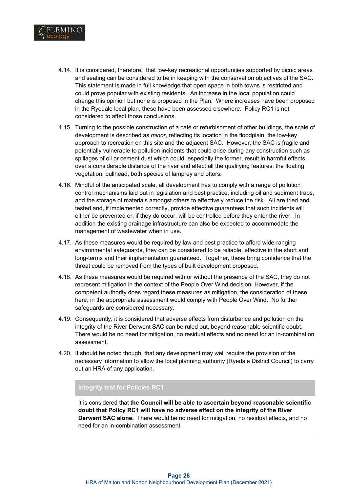

- 4.14. It is considered, therefore, that low-key recreational opportunities supported by picnic areas and seating can be considered to be in keeping with the conservation objectives of the SAC. This statement is made in full knowledge that open space in both towns is restricted and could prove popular with existing residents. An increase in the local population could change this opinion but none is proposed in the Plan. Where increases have been proposed in the Ryedale local plan, these have been assessed elsewhere. Policy RC1 is not considered to affect those conclusions.
- 4.15. Turning to the possible construction of a café or refurbishment of other buildings, the scale of development is described as *minor*, reflecting its location in the floodplain, the low-key approach to recreation on this site and the adjacent SAC. However, the SAC is fragile and potentially vulnerable to pollution incidents that could arise during any construction such as spillages of oil or cement dust which could, especially the former, result in harmful effects over a considerable distance of the river and affect all the qualifying features: the floating vegetation, bullhead, both species of lamprey and otters.
- 4.16. Mindful of the anticipated scale, all development has to comply with a range of pollution control mechanisms laid out in legislation and best practice, including oil and sediment traps, and the storage of materials amongst others to effectively reduce the risk. All are tried and tested and, if implemented correctly, provide effective guarantees that such incidents will either be prevented or, if they do occur, will be controlled before they enter the river. In addition the existing drainage infrastructure can also be expected to accommodate the management of wastewater when in use.
- 4.17. As these measures would be required by law and best practice to afford wide-ranging environmental safeguards, they can be considered to be reliable, effective in the short and long-terms and their implementation guaranteed. Together, these bring confidence that the threat could be removed from the types of built development proposed.
- 4.18. As these measures would be required with or without the presence of the SAC, they do not represent mitigation in the context of the People Over Wind decision. However, if the competent authority does regard these measures as mitigation, the consideration of these here, in the appropriate assessment would comply with People Over Wind. No further safeguards are considered necessary.
- 4.19. Consequently, it is considered that adverse effects from disturbance and pollution on the integrity of the River Derwent SAC can be ruled out, beyond reasonable scientific doubt. There would be no need for mitigation, no residual effects and no need for an in-combination assessment.
- 4.20. It should be noted though, that any development may well require the provision of the necessary information to allow the local planning authority (Ryedale District Council) to carry out an HRA of any application.

#### **Integrity test for Policies RC1**

It is considered that t**he Council will be able to ascertain beyond reasonable scientific doubt that Policy RC1 will have no adverse effect on the integrity of the River Derwent SAC alone.** There would be no need for mitigation, no residual effects, and no need for an in-combination assessment.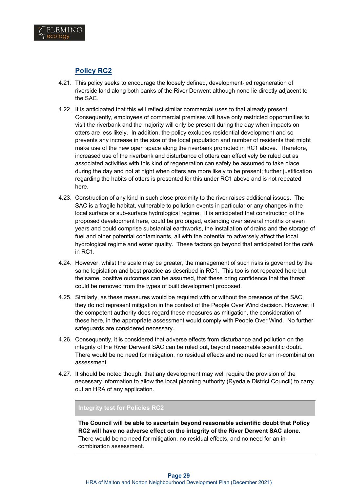

## **Policy RC2**

- 4.21. This policy seeks to encourage the loosely defined, development-led regeneration of riverside land along both banks of the River Derwent although none lie directly adjacent to the SAC.
- 4.22. It is anticipated that this will reflect similar commercial uses to that already present. Consequently, employees of commercial premises will have only restricted opportunities to visit the riverbank and the majority will only be present during the day when impacts on otters are less likely. In addition, the policy excludes residential development and so prevents any increase in the size of the local population and number of residents that might make use of the new open space along the riverbank promoted in RC1 above. Therefore, increased use of the riverbank and disturbance of otters can effectively be ruled out as associated activities with this kind of regeneration can safely be assumed to take place during the day and not at night when otters are more likely to be present; further justification regarding the habits of otters is presented for this under RC1 above and is not repeated here.
- 4.23. Construction of any kind in such close proximity to the river raises additional issues. The SAC is a fragile habitat, vulnerable to pollution events in particular or any changes in the local surface or sub-surface hydrological regime. It is anticipated that construction of the proposed development here, could be prolonged, extending over several months or even years and could comprise substantial earthworks, the installation of drains and the storage of fuel and other potential contaminants, all with the potential to adversely affect the local hydrological regime and water quality. These factors go beyond that anticipated for the café in RC1.
- 4.24. However, whilst the scale may be greater, the management of such risks is governed by the same legislation and best practice as described in RC1. This too is not repeated here but the same, positive outcomes can be assumed, that these bring confidence that the threat could be removed from the types of built development proposed.
- 4.25. Similarly, as these measures would be required with or without the presence of the SAC, they do not represent mitigation in the context of the People Over Wind decision. However, if the competent authority does regard these measures as mitigation, the consideration of these here, in the appropriate assessment would comply with People Over Wind. No further safeguards are considered necessary.
- 4.26. Consequently, it is considered that adverse effects from disturbance and pollution on the integrity of the River Derwent SAC can be ruled out, beyond reasonable scientific doubt. There would be no need for mitigation, no residual effects and no need for an in-combination assessment.
- 4.27. It should be noted though, that any development may well require the provision of the necessary information to allow the local planning authority (Ryedale District Council) to carry out an HRA of any application.

### **Integrity test for Policies RC2**

**The Council will be able to ascertain beyond reasonable scientific doubt that Policy RC2 will have no adverse effect on the integrity of the River Derwent SAC alone.**  There would be no need for mitigation, no residual effects, and no need for an incombination assessment.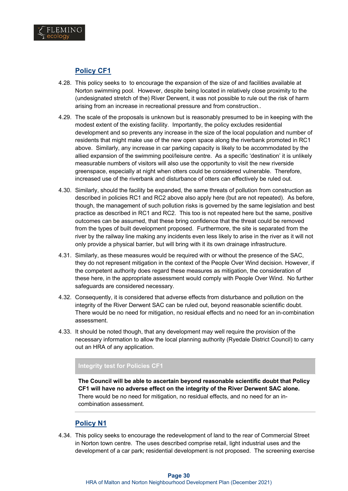

### **Policy CF1**

- 4.28. This policy seeks to to encourage the expansion of the size of and facilities available at Norton swimming pool. However, despite being located in relatively close proximity to the (undesignated stretch of the) River Derwent, it was not possible to rule out the risk of harm arising from an increase in recreational pressure and from construction..
- 4.29. The scale of the proposals is unknown but is reasonably presumed to be in keeping with the modest extent of the existing facility. Importantly, the policy excludes residential development and so prevents any increase in the size of the local population and number of residents that might make use of the new open space along the riverbank promoted in RC1 above. Similarly, any increase in car parking capacity is likely to be accommodated by the allied expansion of the swimming pool/leisure centre. As a specific 'destination' it is unlikely measurable numbers of visitors will also use the opportunity to visit the new riverside greenspace, especially at night when otters could be considered vulnerable. Therefore, increased use of the riverbank and disturbance of otters can effectively be ruled out.
- 4.30. Similarly, should the facility be expanded, the same threats of pollution from construction as described in policies RC1 and RC2 above also apply here (but are not repeated). As before, though, the management of such pollution risks is governed by the same legislation and best practice as described in RC1 and RC2. This too is not repeated here but the same, positive outcomes can be assumed, that these bring confidence that the threat could be removed from the types of built development proposed. Furthermore, the site is separated from the river by the railway line making any incidents even less likely to arise in the river as it will not only provide a physical barrier, but will bring with it its own drainage infrastructure.
- 4.31. Similarly, as these measures would be required with or without the presence of the SAC, they do not represent mitigation in the context of the People Over Wind decision. However, if the competent authority does regard these measures as mitigation, the consideration of these here, in the appropriate assessment would comply with People Over Wind. No further safeguards are considered necessary.
- 4.32. Consequently, it is considered that adverse effects from disturbance and pollution on the integrity of the River Derwent SAC can be ruled out, beyond reasonable scientific doubt. There would be no need for mitigation, no residual effects and no need for an in-combination assessment.
- 4.33. It should be noted though, that any development may well require the provision of the necessary information to allow the local planning authority (Ryedale District Council) to carry out an HRA of any application.

### **Integrity test for Policies CF1**

**The Council will be able to ascertain beyond reasonable scientific doubt that Policy CF1 will have no adverse effect on the integrity of the River Derwent SAC alone.**  There would be no need for mitigation, no residual effects, and no need for an incombination assessment.

### **Policy N1**

4.34. This policy seeks to encourage the redevelopment of land to the rear of Commercial Street in Norton town centre. The uses described comprise retail, light industrial uses and the development of a car park; residential development is not proposed. The screening exercise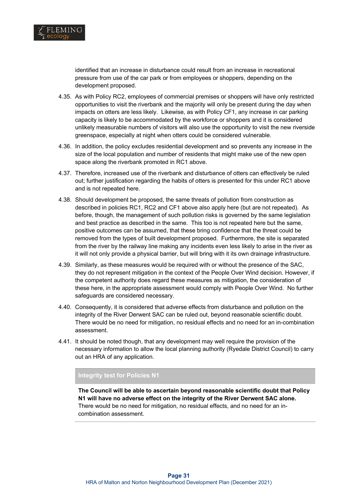

identified that an increase in disturbance could result from an increase in recreational pressure from use of the car park or from employees or shoppers, depending on the development proposed.

- 4.35. As with Policy RC2, employees of commercial premises or shoppers will have only restricted opportunities to visit the riverbank and the majority will only be present during the day when impacts on otters are less likely. Likewise, as with Policy CF1, any increase in car parking capacity is likely to be accommodated by the workforce or shoppers and it is considered unlikely measurable numbers of visitors will also use the opportunity to visit the new riverside greenspace, especially at night when otters could be considered vulnerable.
- 4.36. In addition, the policy excludes residential development and so prevents any increase in the size of the local population and number of residents that might make use of the new open space along the riverbank promoted in RC1 above.
- 4.37. Therefore, increased use of the riverbank and disturbance of otters can effectively be ruled out; further justification regarding the habits of otters is presented for this under RC1 above and is not repeated here.
- 4.38. Should development be proposed, the same threats of pollution from construction as described in policies RC1, RC2 and CF1 above also apply here (but are not repeated). As before, though, the management of such pollution risks is governed by the same legislation and best practice as described in the same. This too is not repeated here but the same, positive outcomes can be assumed, that these bring confidence that the threat could be removed from the types of built development proposed. Furthermore, the site is separated from the river by the railway line making any incidents even less likely to arise in the river as it will not only provide a physical barrier, but will bring with it its own drainage infrastructure.
- 4.39. Similarly, as these measures would be required with or without the presence of the SAC, they do not represent mitigation in the context of the People Over Wind decision. However, if the competent authority does regard these measures as mitigation, the consideration of these here, in the appropriate assessment would comply with People Over Wind. No further safeguards are considered necessary.
- 4.40. Consequently, it is considered that adverse effects from disturbance and pollution on the integrity of the River Derwent SAC can be ruled out, beyond reasonable scientific doubt. There would be no need for mitigation, no residual effects and no need for an in-combination assessment.
- 4.41. It should be noted though, that any development may well require the provision of the necessary information to allow the local planning authority (Ryedale District Council) to carry out an HRA of any application.

### **Integrity test for Policies N1**

**The Council will be able to ascertain beyond reasonable scientific doubt that Policy N1 will have no adverse effect on the integrity of the River Derwent SAC alone.**  There would be no need for mitigation, no residual effects, and no need for an incombination assessment.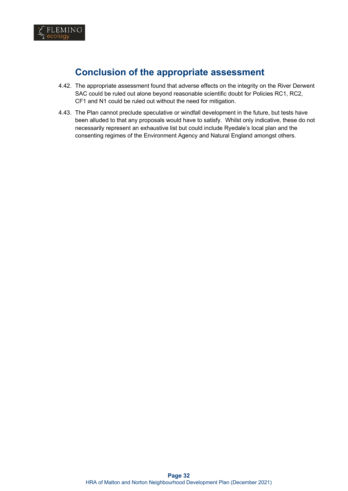

# **Conclusion of the appropriate assessment**

- 4.42. The appropriate assessment found that adverse effects on the integrity on the River Derwent SAC could be ruled out alone beyond reasonable scientific doubt for Policies RC1, RC2, CF1 and N1 could be ruled out without the need for mitigation.
- 4.43. The Plan cannot preclude speculative or windfall development in the future, but tests have been alluded to that any proposals would have to satisfy. Whilst only indicative, these do not necessarily represent an exhaustive list but could include Ryedale's local plan and the consenting regimes of the Environment Agency and Natural England amongst others.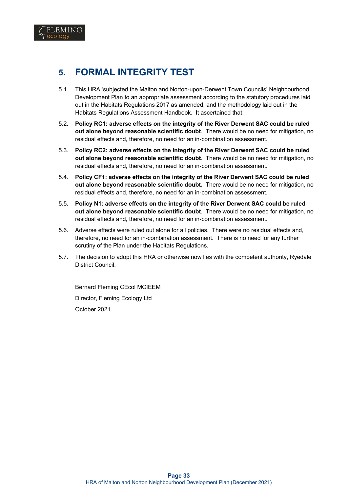

- 5.1. This HRA 'subjected the Malton and Norton-upon-Derwent Town Councils' Neighbourhood Development Plan to an appropriate assessment according to the statutory procedures laid out in the Habitats Regulations 2017 as amended, and the methodology laid out in the Habitats Regulations Assessment Handbook. It ascertained that:
- 5.2. **Policy RC1: adverse effects on the integrity of the River Derwent SAC could be ruled out alone beyond reasonable scientific doubt**. There would be no need for mitigation, no residual effects and, therefore, no need for an in-combination assessment.
- 5.3. **Policy RC2: adverse effects on the integrity of the River Derwent SAC could be ruled out alone beyond reasonable scientific doubt**. There would be no need for mitigation, no residual effects and, therefore, no need for an in-combination assessment.
- 5.4. **Policy CF1: adverse effects on the integrity of the River Derwent SAC could be ruled out alone beyond reasonable scientific doubt.** There would be no need for mitigation, no residual effects and, therefore, no need for an in-combination assessment.
- 5.5. **Policy N1: adverse effects on the integrity of the River Derwent SAC could be ruled out alone beyond reasonable scientific doubt**. There would be no need for mitigation, no residual effects and, therefore, no need for an in-combination assessment.
- 5.6. Adverse effects were ruled out alone for all policies. There were no residual effects and, therefore, no need for an in-combination assessment. There is no need for any further scrutiny of the Plan under the Habitats Regulations.
- 5.7. The decision to adopt this HRA or otherwise now lies with the competent authority, Ryedale District Council.

Bernard Fleming CEcol MCIEEM Director, Fleming Ecology Ltd October 2021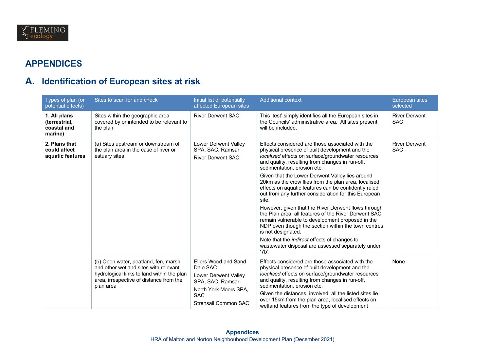

# **APPENDICES**

# **A. Identification of European sites at risk**

| Types of plan (or<br>potential effects)                 | Sites to scan for and check                                                                                                                                                         | Initial list of potentially<br>affected European sites                                                                                      | <b>Additional context</b>                                                                                                                                                                                                                                                                                                                                                                                    | <b>European sites</b><br>selected  |
|---------------------------------------------------------|-------------------------------------------------------------------------------------------------------------------------------------------------------------------------------------|---------------------------------------------------------------------------------------------------------------------------------------------|--------------------------------------------------------------------------------------------------------------------------------------------------------------------------------------------------------------------------------------------------------------------------------------------------------------------------------------------------------------------------------------------------------------|------------------------------------|
| 1. All plans<br>(terrestrial,<br>coastal and<br>marine) | Sites within the geographic area<br>covered by or intended to be relevant to<br>the plan                                                                                            | <b>River Derwent SAC</b>                                                                                                                    | This 'test' simply identifies all the European sites in<br>the Councils' administrative area. All sites present<br>will be included.                                                                                                                                                                                                                                                                         | <b>River Derwent</b><br><b>SAC</b> |
| 2. Plans that<br>could affect<br>aquatic features       | (a) Sites upstream or downstream of<br>the plan area in the case of river or<br>estuary sites                                                                                       | Lower Derwent Valley<br>SPA, SAC, Ramsar<br><b>River Derwent SAC</b>                                                                        | Effects considered are those associated with the<br>physical presence of built development and the<br>localised effects on surface/groundwater resources<br>and quality, resulting from changes in run-off,<br>sedimentation, erosion etc.<br>Given that the Lower Derwent Valley lies around                                                                                                                | <b>River Derwent</b><br><b>SAC</b> |
|                                                         |                                                                                                                                                                                     |                                                                                                                                             | 20km as the crow flies from the plan area, localised<br>effects on aquatic features can be confidently ruled<br>out from any further consideration for this European<br>site.                                                                                                                                                                                                                                |                                    |
|                                                         |                                                                                                                                                                                     |                                                                                                                                             | However, given that the River Derwent flows through<br>the Plan area, all features of the River Derwent SAC<br>remain vulnerable to development proposed in the<br>NDP even though the section within the town centres<br>is not designated.                                                                                                                                                                 |                                    |
|                                                         |                                                                                                                                                                                     |                                                                                                                                             | Note that the <i>indirect</i> effects of changes to<br>wastewater disposal are assessed separately under<br>'7b'.                                                                                                                                                                                                                                                                                            |                                    |
|                                                         | (b) Open water, peatland, fen, marsh<br>and other wetland sites with relevant<br>hydrological links to land within the plan<br>area, irrespective of distance from the<br>plan area | Ellers Wood and Sand<br>Dale SAC<br>Lower Derwent Valley<br>SPA, SAC, Ramsar<br>North York Moors SPA,<br><b>SAC</b><br>Strensall Common SAC | Effects considered are those associated with the<br>physical presence of built development and the<br>localised effects on surface/groundwater resources<br>and quality, resulting from changes in run-off,<br>sedimentation, erosion etc.<br>Given the distances, involved, all the listed sites lie<br>over 15km from the plan area, localised effects on<br>wetland features from the type of development | None                               |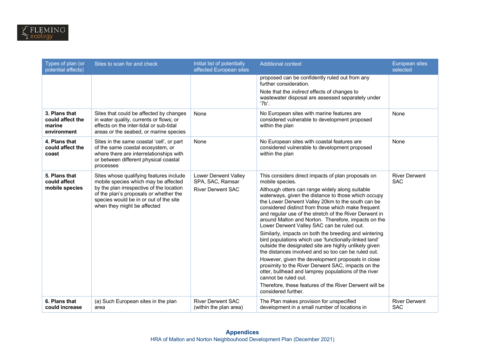| Types of plan (or<br>potential effects)                    | Sites to scan for and check                                                                                                                                                                                                                    | Initial list of potentially<br>affected European sites                      | <b>Additional context</b>                                                                                                                                                                                                                                                                                                                                                                                                                                                                                                                                                                                                                                                                                                                                                                                                                                                                                                                                               | <b>European sites</b><br>selected  |
|------------------------------------------------------------|------------------------------------------------------------------------------------------------------------------------------------------------------------------------------------------------------------------------------------------------|-----------------------------------------------------------------------------|-------------------------------------------------------------------------------------------------------------------------------------------------------------------------------------------------------------------------------------------------------------------------------------------------------------------------------------------------------------------------------------------------------------------------------------------------------------------------------------------------------------------------------------------------------------------------------------------------------------------------------------------------------------------------------------------------------------------------------------------------------------------------------------------------------------------------------------------------------------------------------------------------------------------------------------------------------------------------|------------------------------------|
|                                                            |                                                                                                                                                                                                                                                |                                                                             | proposed can be confidently ruled out from any<br>further consideration.<br>Note that the indirect effects of changes to<br>wastewater disposal are assessed separately under<br>'7b'.                                                                                                                                                                                                                                                                                                                                                                                                                                                                                                                                                                                                                                                                                                                                                                                  |                                    |
| 3. Plans that<br>could affect the<br>marine<br>environment | Sites that could be affected by changes<br>in water quality, currents or flows; or<br>effects on the inter-tidal or sub-tidal<br>areas or the seabed, or marine species                                                                        | None                                                                        | No European sites with marine features are<br>considered vulnerable to development proposed<br>within the plan                                                                                                                                                                                                                                                                                                                                                                                                                                                                                                                                                                                                                                                                                                                                                                                                                                                          | None                               |
| 4. Plans that<br>could affect the<br>coast                 | Sites in the same coastal 'cell', or part<br>of the same coastal ecosystem, or<br>where there are interrelationships with<br>or between different physical coastal<br>processes                                                                | None                                                                        | No European sites with coastal features are<br>considered vulnerable to development proposed<br>within the plan                                                                                                                                                                                                                                                                                                                                                                                                                                                                                                                                                                                                                                                                                                                                                                                                                                                         | None                               |
| 5. Plans that<br>could affect<br>mobile species            | Sites whose qualifying features include<br>mobile species which may be affected<br>by the plan irrespective of the location<br>of the plan's proposals or whether the<br>species would be in or out of the site<br>when they might be affected | <b>Lower Derwent Valley</b><br>SPA, SAC, Ramsar<br><b>River Derwent SAC</b> | This considers direct impacts of plan proposals on<br>mobile species.<br>Although otters can range widely along suitable<br>waterways, given the distance to those which occupy<br>the Lower Derwent Valley 20km to the south can be<br>considered distinct from those which make frequent<br>and regular use of the stretch of the River Derwent in<br>around Malton and Norton. Therefore, impacts on the<br>Lower Derwent Valley SAC can be ruled out.<br>Similarly, impacts on both the breeding and wintering<br>bird populations which use 'functionally-linked land'<br>outside the designated site are highly unlikely given<br>the distances involved and so too can be ruled out.<br>However, given the development proposals in close<br>proximity to the River Derwent SAC, impacts on the<br>otter, bullhead and lamprey populations of the river<br>cannot be ruled out.<br>Therefore, these features of the River Derwent will be<br>considered further. | <b>River Derwent</b><br><b>SAC</b> |
| 6. Plans that<br>could increase                            | (a) Such European sites in the plan<br>area                                                                                                                                                                                                    | <b>River Derwent SAC</b><br>(within the plan area)                          | The Plan makes provision for unspecified<br>development in a small number of locations in                                                                                                                                                                                                                                                                                                                                                                                                                                                                                                                                                                                                                                                                                                                                                                                                                                                                               | <b>River Derwent</b><br><b>SAC</b> |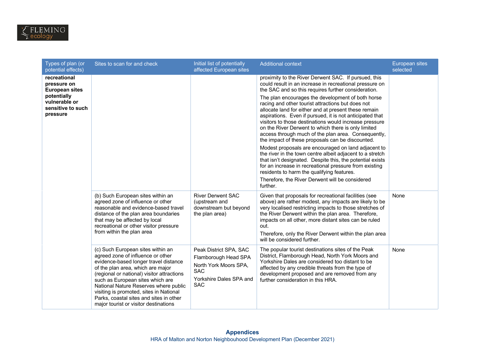

| Types of plan (or<br>potential effects)                       | Sites to scan for and check                                                                                                                                                                                                                                                                                                                                                                                    | Initial list of potentially<br>affected European sites                                                                         | <b>Additional context</b>                                                                                                                                                                                                                                                                                                                                                                                                                                                                                                                                                                                                                                                                                                                                                                                      | European sites<br>selected |
|---------------------------------------------------------------|----------------------------------------------------------------------------------------------------------------------------------------------------------------------------------------------------------------------------------------------------------------------------------------------------------------------------------------------------------------------------------------------------------------|--------------------------------------------------------------------------------------------------------------------------------|----------------------------------------------------------------------------------------------------------------------------------------------------------------------------------------------------------------------------------------------------------------------------------------------------------------------------------------------------------------------------------------------------------------------------------------------------------------------------------------------------------------------------------------------------------------------------------------------------------------------------------------------------------------------------------------------------------------------------------------------------------------------------------------------------------------|----------------------------|
| recreational<br>pressure on<br><b>European sites</b>          |                                                                                                                                                                                                                                                                                                                                                                                                                |                                                                                                                                | proximity to the River Derwent SAC. If pursued, this<br>could result in an increase in recreational pressure on<br>the SAC and so this requires further consideration.                                                                                                                                                                                                                                                                                                                                                                                                                                                                                                                                                                                                                                         |                            |
| potentially<br>vulnerable or<br>sensitive to such<br>pressure |                                                                                                                                                                                                                                                                                                                                                                                                                |                                                                                                                                | The plan encourages the development of both horse<br>racing and other tourist attractions but does not<br>allocate land for either and at present these remain<br>aspirations. Even if pursued, it is not anticipated that<br>visitors to those destinations would increase pressure<br>on the River Derwent to which there is only limited<br>access through much of the plan area. Consequently,<br>the impact of these proposals can be discounted.<br>Modest proposals are encouraged on land adjacent to<br>the river in the town centre albeit adjacent to a stretch<br>that isn't designated. Despite this, the potential exists<br>for an increase in recreational pressure from existing<br>residents to harm the qualifying features.<br>Therefore, the River Derwent will be considered<br>further. |                            |
|                                                               | (b) Such European sites within an<br>agreed zone of influence or other<br>reasonable and evidence-based travel<br>distance of the plan area boundaries<br>that may be affected by local<br>recreational or other visitor pressure<br>from within the plan area                                                                                                                                                 | <b>River Derwent SAC</b><br>(upstream and<br>downstream but beyond<br>the plan area)                                           | Given that proposals for recreational facilities (see<br>above) are rather modest, any impacts are likely to be<br>very localised restricting impacts to those stretches of<br>the River Derwent within the plan area. Therefore,<br>impacts on all other, more distant sites can be ruled<br>out.<br>Therefore, only the River Derwent within the plan area<br>will be considered further.                                                                                                                                                                                                                                                                                                                                                                                                                    | None                       |
|                                                               | (c) Such European sites within an<br>agreed zone of influence or other<br>evidence-based longer travel distance<br>of the plan area, which are major<br>(regional or national) visitor attractions<br>such as European sites which are<br>National Nature Reserves where public<br>visiting is promoted, sites in National<br>Parks, coastal sites and sites in other<br>major tourist or visitor destinations | Peak District SPA, SAC<br>Flamborough Head SPA<br>North York Moors SPA,<br><b>SAC</b><br>Yorkshire Dales SPA and<br><b>SAC</b> | The popular tourist destinations sites of the Peak<br>District, Flamborough Head, North York Moors and<br>Yorkshire Dales are considered too distant to be<br>affected by any credible threats from the type of<br>development proposed and are removed from any<br>further consideration in this HRA.                                                                                                                                                                                                                                                                                                                                                                                                                                                                                                         | None                       |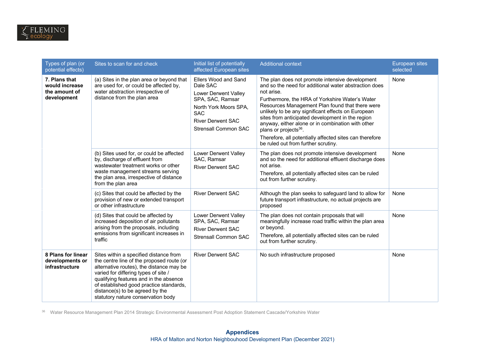| Types of plan (or<br>potential effects)                         | Sites to scan for and check                                                                                                                                                                                                                                                                                                           | Initial list of potentially<br>affected European sites                                                                                                                         | <b>Additional context</b>                                                                                                                                                                                                                                                                                                                                                                                                                                                                                                          | <b>European sites</b><br>selected |
|-----------------------------------------------------------------|---------------------------------------------------------------------------------------------------------------------------------------------------------------------------------------------------------------------------------------------------------------------------------------------------------------------------------------|--------------------------------------------------------------------------------------------------------------------------------------------------------------------------------|------------------------------------------------------------------------------------------------------------------------------------------------------------------------------------------------------------------------------------------------------------------------------------------------------------------------------------------------------------------------------------------------------------------------------------------------------------------------------------------------------------------------------------|-----------------------------------|
| 7. Plans that<br>would increase<br>the amount of<br>development | (a) Sites in the plan area or beyond that<br>are used for, or could be affected by,<br>water abstraction irrespective of<br>distance from the plan area                                                                                                                                                                               | Ellers Wood and Sand<br>Dale SAC<br>Lower Derwent Valley<br>SPA, SAC, Ramsar<br>North York Moors SPA,<br><b>SAC</b><br><b>River Derwent SAC</b><br><b>Strensall Common SAC</b> | The plan does not promote intensive development<br>and so the need for additional water abstraction does<br>not arise.<br>Furthermore, the HRA of Yorkshire Water's Water<br>Resources Management Plan found that there were<br>unlikely to be any significant effects on European<br>sites from anticipated development in the region<br>anyway, either alone or in combination with other<br>plans or projects <sup>36</sup> .<br>Therefore, all potentially affected sites can therefore<br>be ruled out from further scrutiny. | None                              |
|                                                                 | (b) Sites used for, or could be affected<br>by, discharge of effluent from<br>wastewater treatment works or other<br>waste management streams serving<br>the plan area, irrespective of distance<br>from the plan area                                                                                                                | Lower Derwent Valley<br>SAC, Ramsar<br><b>River Derwent SAC</b>                                                                                                                | The plan does not promote intensive development<br>and so the need for additional effluent discharge does<br>not arise.<br>Therefore, all potentially affected sites can be ruled<br>out from further scrutiny.                                                                                                                                                                                                                                                                                                                    | None                              |
|                                                                 | (c) Sites that could be affected by the<br>provision of new or extended transport<br>or other infrastructure                                                                                                                                                                                                                          | <b>River Derwent SAC</b>                                                                                                                                                       | Although the plan seeks to safeguard land to allow for<br>future transport infrastructure, no actual projects are<br>proposed                                                                                                                                                                                                                                                                                                                                                                                                      | None                              |
|                                                                 | (d) Sites that could be affected by<br>increased deposition of air pollutants<br>arising from the proposals, including<br>emissions from significant increases in<br>traffic                                                                                                                                                          | Lower Derwent Valley<br>SPA, SAC, Ramsar<br><b>River Derwent SAC</b><br>Strensall Common SAC                                                                                   | The plan does not contain proposals that will<br>meaningfully increase road traffic within the plan area<br>or beyond.<br>Therefore, all potentially affected sites can be ruled<br>out from further scrutiny.                                                                                                                                                                                                                                                                                                                     | None                              |
| 8 Plans for linear<br>developments or<br>infrastructure         | Sites within a specified distance from<br>the centre line of the proposed route (or<br>alternative routes), the distance may be<br>varied for differing types of site /<br>qualifying features and in the absence<br>of established good practice standards,<br>distance(s) to be agreed by the<br>statutory nature conservation body | <b>River Derwent SAC</b>                                                                                                                                                       | No such infrastructure proposed                                                                                                                                                                                                                                                                                                                                                                                                                                                                                                    | None                              |

<sup>36</sup> Water Resource Management Plan 2014 Strategic Environmental Assessment Post Adoption Statement Cascade/Yorkshire Water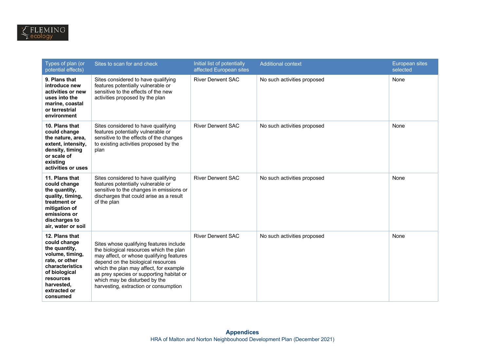| Types of plan (or<br>potential effects)                                                                                                                                         | Sites to scan for and check                                                                                                                                                                                                                                                                                                          | Initial list of potentially<br>affected European sites | <b>Additional context</b>   | <b>European sites</b><br>selected |
|---------------------------------------------------------------------------------------------------------------------------------------------------------------------------------|--------------------------------------------------------------------------------------------------------------------------------------------------------------------------------------------------------------------------------------------------------------------------------------------------------------------------------------|--------------------------------------------------------|-----------------------------|-----------------------------------|
| 9. Plans that<br>introduce new<br>activities or new<br>uses into the<br>marine, coastal<br>or terrestrial<br>environment                                                        | Sites considered to have qualifying<br>features potentially vulnerable or<br>sensitive to the effects of the new<br>activities proposed by the plan                                                                                                                                                                                  | <b>River Derwent SAC</b>                               | No such activities proposed | None                              |
| 10. Plans that<br>could change<br>the nature, area,<br>extent, intensity,<br>density, timing<br>or scale of<br>existing<br>activities or uses                                   | Sites considered to have qualifying<br>features potentially vulnerable or<br>sensitive to the effects of the changes<br>to existing activities proposed by the<br>plan                                                                                                                                                               | <b>River Derwent SAC</b>                               | No such activities proposed | None                              |
| 11. Plans that<br>could change<br>the quantity,<br>quality, timing,<br>treatment or<br>mitigation of<br>emissions or<br>discharges to<br>air, water or soil                     | Sites considered to have qualifying<br>features potentially vulnerable or<br>sensitive to the changes in emissions or<br>discharges that could arise as a result<br>of the plan                                                                                                                                                      | <b>River Derwent SAC</b>                               | No such activities proposed | None                              |
| 12. Plans that<br>could change<br>the quantity,<br>volume, timing,<br>rate, or other<br>characteristics<br>of biological<br>resources<br>harvested,<br>extracted or<br>consumed | Sites whose qualifying features include<br>the biological resources which the plan<br>may affect, or whose qualifying features<br>depend on the biological resources<br>which the plan may affect, for example<br>as prey species or supporting habitat or<br>which may be disturbed by the<br>harvesting, extraction or consumption | <b>River Derwent SAC</b>                               | No such activities proposed | None                              |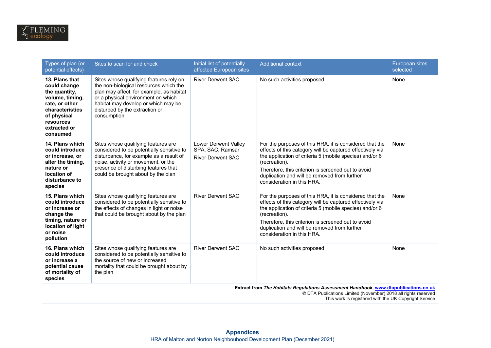| Types of plan (or<br>potential effects)                                                                                                                                                                         | Sites to scan for and check                                                                                                                                                                                                                                 | Initial list of potentially<br>affected European sites               | <b>Additional context</b>                                                                                                                                                                                                                                                                                                            | European sites<br>selected |
|-----------------------------------------------------------------------------------------------------------------------------------------------------------------------------------------------------------------|-------------------------------------------------------------------------------------------------------------------------------------------------------------------------------------------------------------------------------------------------------------|----------------------------------------------------------------------|--------------------------------------------------------------------------------------------------------------------------------------------------------------------------------------------------------------------------------------------------------------------------------------------------------------------------------------|----------------------------|
| 13. Plans that<br>could change<br>the quantity,<br>volume, timing,<br>rate, or other<br>characteristics<br>of physical<br>resources<br>extracted or<br>consumed                                                 | Sites whose qualifying features rely on<br>the non-biological resources which the<br>plan may affect, for example, as habitat<br>or a physical environment on which<br>habitat may develop or which may be<br>disturbed by the extraction or<br>consumption | <b>River Derwent SAC</b>                                             | No such activities proposed                                                                                                                                                                                                                                                                                                          | None                       |
| 14. Plans which<br>could introduce<br>or increase, or<br>alter the timing.<br>nature or<br>location of<br>disturbance to<br>species                                                                             | Sites whose qualifying features are<br>considered to be potentially sensitive to<br>disturbance, for example as a result of<br>noise, activity or movement, or the<br>presence of disturbing features that<br>could be brought about by the plan            | Lower Derwent Valley<br>SPA, SAC, Ramsar<br><b>River Derwent SAC</b> | For the purposes of this HRA, it is considered that the<br>effects of this category will be captured effectively via<br>the application of criteria 5 (mobile species) and/or 6<br>(recreation).<br>Therefore, this criterion is screened out to avoid<br>duplication and will be removed from further<br>consideration in this HRA. | None                       |
| 15. Plans which<br>could introduce<br>or increase or<br>change the<br>timing, nature or<br>location of light<br>or noise<br>pollution                                                                           | Sites whose qualifying features are<br>considered to be potentially sensitive to<br>the effects of changes in light or noise<br>that could be brought about by the plan                                                                                     | <b>River Derwent SAC</b>                                             | For the purposes of this HRA, it is considered that the<br>effects of this category will be captured effectively via<br>the application of criteria 5 (mobile species) and/or 6<br>(recreation).<br>Therefore, this criterion is screened out to avoid<br>duplication and will be removed from further<br>consideration in this HRA. | None                       |
| 16. Plans which<br>could introduce<br>or increase a<br>potential cause<br>of mortality of<br>species                                                                                                            | Sites whose qualifying features are<br>considered to be potentially sensitive to<br>the source of new or increased<br>mortality that could be brought about by<br>the plan                                                                                  | <b>River Derwent SAC</b>                                             | No such activities proposed                                                                                                                                                                                                                                                                                                          | None                       |
| Extract from The Habitats Regulations Assessment Handbook, www.dtapublications.co.uk<br>© DTA Publications Limited (November) 2018 all rights reserved<br>This work is registered with the UK Copyright Service |                                                                                                                                                                                                                                                             |                                                                      |                                                                                                                                                                                                                                                                                                                                      |                            |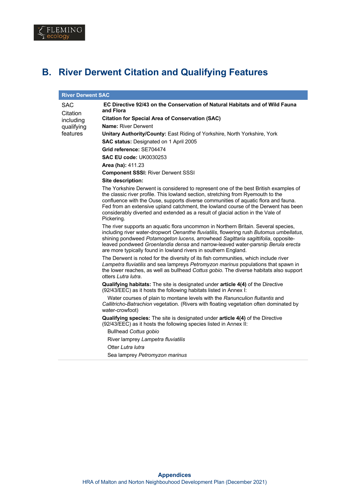

# **B. River Derwent Citation and Qualifying Features**

| <b>River Derwent SAC</b> |                                                                                                                                                                                                                                                                                                                                                                                                                                                       |  |  |  |  |
|--------------------------|-------------------------------------------------------------------------------------------------------------------------------------------------------------------------------------------------------------------------------------------------------------------------------------------------------------------------------------------------------------------------------------------------------------------------------------------------------|--|--|--|--|
| SAC                      | EC Directive 92/43 on the Conservation of Natural Habitats and of Wild Fauna<br>and Flora                                                                                                                                                                                                                                                                                                                                                             |  |  |  |  |
| Citation<br>including    | <b>Citation for Special Area of Conservation (SAC)</b>                                                                                                                                                                                                                                                                                                                                                                                                |  |  |  |  |
| qualifying               | <b>Name: River Derwent</b>                                                                                                                                                                                                                                                                                                                                                                                                                            |  |  |  |  |
| features                 | Unitary Authority/County: East Riding of Yorkshire, North Yorkshire, York                                                                                                                                                                                                                                                                                                                                                                             |  |  |  |  |
|                          | <b>SAC status: Designated on 1 April 2005</b>                                                                                                                                                                                                                                                                                                                                                                                                         |  |  |  |  |
|                          | Grid reference: SE704474                                                                                                                                                                                                                                                                                                                                                                                                                              |  |  |  |  |
|                          | <b>SAC EU code: UK0030253</b>                                                                                                                                                                                                                                                                                                                                                                                                                         |  |  |  |  |
|                          | Area (ha): 411.23                                                                                                                                                                                                                                                                                                                                                                                                                                     |  |  |  |  |
|                          | <b>Component SSSI: River Derwent SSSI</b>                                                                                                                                                                                                                                                                                                                                                                                                             |  |  |  |  |
|                          | Site description:                                                                                                                                                                                                                                                                                                                                                                                                                                     |  |  |  |  |
|                          | The Yorkshire Derwent is considered to represent one of the best British examples of<br>the classic river profile. This lowland section, stretching from Ryemouth to the<br>confluence with the Ouse, supports diverse communities of aquatic flora and fauna.<br>Fed from an extensive upland catchment, the lowland course of the Derwent has been<br>considerably diverted and extended as a result of glacial action in the Vale of<br>Pickering. |  |  |  |  |
|                          | The river supports an aquatic flora uncommon in Northern Britain. Several species,<br>including river water-dropwort Oenanthe fluviatilis, flowering rush Butomus umbellatus,<br>shining pondweed Potamogeton lucens, arrowhead Sagittaria sagittifolia, opposite-<br>leaved pondweed Groenlandia densa and narrow-leaved water-parsnip Berula erecta<br>are more typically found in lowland rivers in southern England.                              |  |  |  |  |
|                          | The Derwent is noted for the diversity of its fish communities, which include river<br>Lampetra fluviatilis and sea lampreys Petromyzon marinus populations that spawn in<br>the lower reaches, as well as bullhead Cottus gobio. The diverse habitats also support<br>otters Lutra lutra.                                                                                                                                                            |  |  |  |  |
|                          | Qualifying habitats: The site is designated under article 4(4) of the Directive<br>(92/43/EEC) as it hosts the following habitats listed in Annex I:                                                                                                                                                                                                                                                                                                  |  |  |  |  |
|                          | Water courses of plain to montane levels with the Ranunculion fluitantis and<br>Callitricho-Batrachion vegetation. (Rivers with floating vegetation often dominated by<br>water-crowfoot)                                                                                                                                                                                                                                                             |  |  |  |  |
|                          | Qualifying species: The site is designated under article 4(4) of the Directive<br>(92/43/EEC) as it hosts the following species listed in Annex II:                                                                                                                                                                                                                                                                                                   |  |  |  |  |
|                          | <b>Bullhead Cottus gobio</b>                                                                                                                                                                                                                                                                                                                                                                                                                          |  |  |  |  |
|                          | River lamprey Lampetra fluviatilis                                                                                                                                                                                                                                                                                                                                                                                                                    |  |  |  |  |
|                          | Otter Lutra lutra                                                                                                                                                                                                                                                                                                                                                                                                                                     |  |  |  |  |
|                          | Sea lamprey Petromyzon marinus                                                                                                                                                                                                                                                                                                                                                                                                                        |  |  |  |  |
|                          |                                                                                                                                                                                                                                                                                                                                                                                                                                                       |  |  |  |  |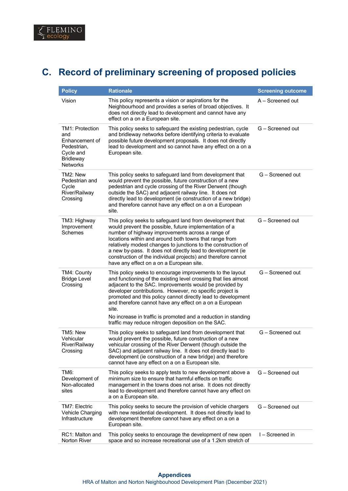# **C. Record of preliminary screening of proposed policies**

| <b>Policy</b>                                                                                                      | <b>Rationale</b>                                                                                                                                                                                                                                                                                                                                                                                                                                                                                               | <b>Screening outcome</b> |
|--------------------------------------------------------------------------------------------------------------------|----------------------------------------------------------------------------------------------------------------------------------------------------------------------------------------------------------------------------------------------------------------------------------------------------------------------------------------------------------------------------------------------------------------------------------------------------------------------------------------------------------------|--------------------------|
| Vision                                                                                                             | This policy represents a vision or aspirations for the<br>Neighbourhood and provides a series of broad objectives. It<br>does not directly lead to development and cannot have any<br>effect on a on a European site.                                                                                                                                                                                                                                                                                          | A - Screened out         |
| <b>TM1: Protection</b><br>and<br>Enhancement of<br>Pedestrian.<br>Cycle and<br><b>Bridleway</b><br><b>Networks</b> | This policy seeks to safeguard the existing pedestrian, cycle<br>and bridleway networks before identifying criteria to evaluate<br>possible future development proposals. It does not directly<br>lead to development and so cannot have any effect on a on a<br>European site.                                                                                                                                                                                                                                | G - Screened out         |
| TM2: New<br>Pedestrian and<br>Cycle<br>River/Railway<br>Crossing                                                   | This policy seeks to safeguard land from development that<br>would prevent the possible, future construction of a new<br>pedestrian and cycle crossing of the River Derwent (though<br>outside the SAC) and adjacent railway line. It does not<br>directly lead to development (ie construction of a new bridge)<br>and therefore cannot have any effect on a on a European<br>site.                                                                                                                           | G - Screened out         |
| TM3: Highway<br>Improvement<br>Schemes                                                                             | This policy seeks to safeguard land from development that<br>would prevent the possible, future implementation of a<br>number of highway improvements across a range of<br>locations within and around both towns that range from<br>relatively modest changes to junctions to the construction of<br>a new by-pass. It does not directly lead to development (ie<br>construction of the individual projects) and therefore cannot<br>have any effect on a on a European site.                                 | G - Screened out         |
| TM4: County<br><b>Bridge Level</b><br>Crossing                                                                     | This policy seeks to encourage improvements to the layout<br>and functioning of the existing level crossing that lies almost<br>adjacent to the SAC. Improvements would be provided by<br>developer contributions. However, no specific project is<br>promoted and this policy cannot directly lead to development<br>and therefore cannot have any effect on a on a European<br>site.<br>No increase in traffic is promoted and a reduction in standing<br>traffic may reduce nitrogen deposition on the SAC. | G - Screened out         |
| TM5: New<br>Vehicular<br>River/Railway<br>Crossing                                                                 | This policy seeks to safeguard land from development that<br>would prevent the possible, future construction of a new<br>vehicular crossing of the River Derwent (though outside the<br>SAC) and adjacent railway line. It does not directly lead to<br>development (ie construction of a new bridge) and therefore<br>cannot have any effect on a on a European site.                                                                                                                                         | G - Screened out         |
| TM6:<br>Development of<br>Non-allocated<br>sites                                                                   | This policy seeks to apply tests to new development above a<br>minimum size to ensure that harmful effects on traffic<br>management in the towns does not arise. It does not directly<br>lead to development and therefore cannot have any effect on<br>a on a European site.                                                                                                                                                                                                                                  | G - Screened out         |
| TM7: Electric<br><b>Vehicle Charging</b><br>Infrastructure                                                         | This policy seeks to secure the provision of vehicle chargers<br>with new residential development. It does not directly lead to<br>development therefore cannot have any effect on a on a<br>European site.                                                                                                                                                                                                                                                                                                    | G - Screened out         |
| RC1: Malton and<br>Norton River                                                                                    | This policy seeks to encourage the development of new open<br>space and so increase recreational use of a 1.2km stretch of                                                                                                                                                                                                                                                                                                                                                                                     | I-Screened in            |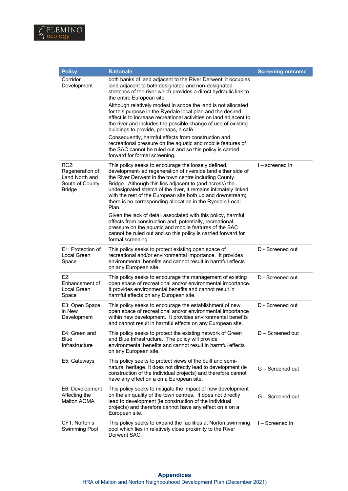

| <b>Policy</b>                                                                    | <b>Rationale</b>                                                                                                                                                                                                                                                                                                                                                                                                                                | <b>Screening outcome</b> |
|----------------------------------------------------------------------------------|-------------------------------------------------------------------------------------------------------------------------------------------------------------------------------------------------------------------------------------------------------------------------------------------------------------------------------------------------------------------------------------------------------------------------------------------------|--------------------------|
| Corridor<br>Development                                                          | both banks of land adjacent to the River Derwent; it occupies<br>land adjacent to both designated and non-designated<br>stretches of the river which provides a direct hydraulic link to<br>the entire European site.                                                                                                                                                                                                                           |                          |
|                                                                                  | Although relatively modest in scope the land is not allocated<br>for this purpose in the Ryedale local plan and the desired<br>effect is to increase recreational activities on land adjacent to<br>the river and includes the possible change of use of existing<br>buildings to provide, perhaps, a café.                                                                                                                                     |                          |
|                                                                                  | Consequently, harmful effects from construction and<br>recreational pressure on the aquatic and mobile features of<br>the SAC cannot be ruled out and so this policy is carried<br>forward for formal screening.                                                                                                                                                                                                                                |                          |
| $RC2$ :<br>Regeneration of<br>Land North and<br>South of County<br><b>Bridge</b> | This policy seeks to encourage the loosely defined,<br>development-led regeneration of riverside land either side of<br>the River Derwent in the town centre including County<br>Bridge. Although this lies adjacent to (and across) the<br>undesignated stretch of the river, it remains intimately linked<br>with the rest of the European site both up and downstream;<br>there is no corresponding allocation in the Ryedale Local<br>Plan. | I – screened in          |
|                                                                                  | Given the lack of detail associated with this policy, harmful<br>effects from construction and, potentially, recreational<br>pressure on the aquatic and mobile features of the SAC<br>cannot be ruled out and so this policy is carried forward for<br>formal screening.                                                                                                                                                                       |                          |
| E1: Protection of<br>Local Green<br>Space                                        | This policy seeks to protect existing open space of<br>recreational and/or environmental importance. It provides<br>environmental benefits and cannot result in harmful effects<br>on any European site.                                                                                                                                                                                                                                        | D - Screened out         |
| E2:<br>Enhancement of<br>Local Green<br>Space                                    | This policy seeks to encourage the management of existing<br>open space of recreational and/or environmental importance.<br>It provides environmental benefits and cannot result in<br>harmful effects on any European site.                                                                                                                                                                                                                    | D - Screened out         |
| E3: Open Space<br>in New<br>Development                                          | This policy seeks to encourage the establishment of new<br>open space of recreational and/or environmental importance<br>within new development. It provides environmental benefits<br>and cannot result in harmful effects on any European site.                                                                                                                                                                                               | D - Screened out         |
| E4: Green and<br><b>Blue</b><br>Infrastructure                                   | This policy seeks to protect the existing network of Green<br>and Blue Infrastructure. The policy will provide<br>environmental benefits and cannot result in harmful effects<br>on any European site.                                                                                                                                                                                                                                          | D - Screened out         |
| E5: Gateways                                                                     | This policy seeks to protect views of the built and semi-<br>natural heritage. It does not directly lead to development (ie<br>construction of the individual projects) and therefore cannot<br>have any effect on a on a European site.                                                                                                                                                                                                        | G - Screened out         |
| E6: Development<br>Affecting the<br>Malton AQMA                                  | This policy seeks to mitigate the impact of new development<br>on the air quality of the town centres. It does not directly<br>lead to development (ie construction of the individual<br>projects) and therefore cannot have any effect on a on a<br>European site.                                                                                                                                                                             | G - Screened out         |
| CF1: Norton's<br>Swimming Pool                                                   | This policy seeks to expand the facilities at Norton swimming<br>pool which lies in relatively close proximity to the River<br>Derwent SAC.                                                                                                                                                                                                                                                                                                     | I - Screened in          |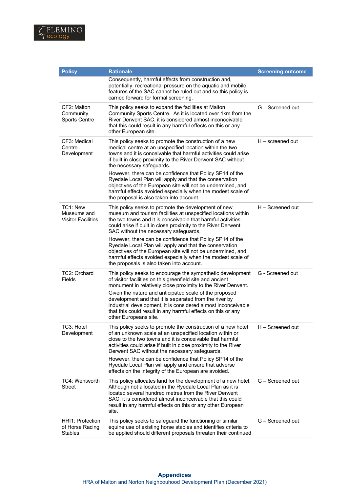

| <b>Policy</b>                                         | <b>Rationale</b>                                                                                                                                                                                                                                                                                                                                                                                                                                                                        | <b>Screening outcome</b> |
|-------------------------------------------------------|-----------------------------------------------------------------------------------------------------------------------------------------------------------------------------------------------------------------------------------------------------------------------------------------------------------------------------------------------------------------------------------------------------------------------------------------------------------------------------------------|--------------------------|
|                                                       | Consequently, harmful effects from construction and,<br>potentially, recreational pressure on the aquatic and mobile<br>features of the SAC cannot be ruled out and so this policy is<br>carried forward for formal screening.                                                                                                                                                                                                                                                          |                          |
| CF2: Malton<br>Community<br><b>Sports Centre</b>      | This policy seeks to expand the facilities at Malton<br>Community Sports Centre. As it is located over 1km from the<br>River Derwent SAC, it is considered almost inconceivable<br>that this could result in any harmful effects on this or any<br>other European site.                                                                                                                                                                                                                 | G - Screened out         |
| CF3: Medical<br>Centre<br>Development                 | This policy seeks to promote the construction of a new<br>medical centre at an unspecified location within the two<br>towns and it is conceivable that harmful activities could arise<br>if built in close proximity to the River Derwent SAC without<br>the necessary safeguards.                                                                                                                                                                                                      | $H$ – screened out       |
|                                                       | However, there can be confidence that Policy SP14 of the<br>Ryedale Local Plan will apply and that the conservation<br>objectives of the European site will not be undermined, and<br>harmful effects avoided especially when the modest scale of<br>the proposal is also taken into account.                                                                                                                                                                                           |                          |
| TC1: New<br>Museums and<br><b>Visitor Facilities</b>  | This policy seeks to promote the development of new<br>museum and tourism facilities at unspecified locations within<br>the two towns and it is conceivable that harmful activities<br>could arise if built in close proximity to the River Derwent<br>SAC without the necessary safeguards.                                                                                                                                                                                            | H - Screened out         |
|                                                       | However, there can be confidence that Policy SP14 of the<br>Ryedale Local Plan will apply and that the conservation<br>objectives of the European site will not be undermined, and<br>harmful effects avoided especially when the modest scale of<br>the proposals is also taken into account.                                                                                                                                                                                          |                          |
| TC2: Orchard<br>Fields                                | This policy seeks to encourage the sympathetic development<br>of visitor facilities on this greenfield site and ancient<br>monument in relatively close proximity to the River Derwent.<br>Given the nature and anticipated scale of the proposed<br>development and that it is separated from the river by<br>industrial development, it is considered almost inconceivable<br>that this could result in any harmful effects on this or any<br>other Europeans site.                   | G - Screened out         |
| TC3: Hotel<br>Development                             | This policy seeks to promote the construction of a new hotel<br>of an unknown scale at an unspecified location within or<br>close to the two towns and it is conceivable that harmful<br>activities could arise if built in close proximity to the River<br>Derwent SAC without the necessary safeguards.<br>However, there can be confidence that Policy SP14 of the<br>Ryedale Local Plan will apply and ensure that adverse<br>effects on the integrity of the European are avoided. | H - Screened out         |
| TC4: Wentworth<br><b>Street</b>                       | This policy allocates land for the development of a new hotel.<br>Although not allocated in the Ryedale Local Plan as it is<br>located several hundred metres from the River Derwent<br>SAC, it is considered almost inconceivable that this could<br>result in any harmful effects on this or any other European<br>site.                                                                                                                                                              | G - Screened out         |
| <b>HRI1: Protection</b><br>of Horse Racing<br>Stables | This policy seeks to safeguard the functioning or similar<br>equine use of existing horse stables and identifies criteria to<br>be applied should different proposals threaten their continued                                                                                                                                                                                                                                                                                          | G - Screened out         |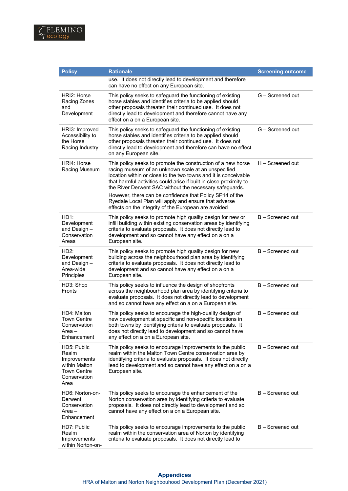

| <b>Policy</b>                                                                                | <b>Rationale</b>                                                                                                                                                                                                                                                                                                        | <b>Screening outcome</b> |
|----------------------------------------------------------------------------------------------|-------------------------------------------------------------------------------------------------------------------------------------------------------------------------------------------------------------------------------------------------------------------------------------------------------------------------|--------------------------|
|                                                                                              | use. It does not directly lead to development and therefore<br>can have no effect on any European site.                                                                                                                                                                                                                 |                          |
| HRI2: Horse<br>Racing Zones<br>and<br>Development                                            | This policy seeks to safeguard the functioning of existing<br>horse stables and identifies criteria to be applied should<br>other proposals threaten their continued use. It does not<br>directly lead to development and therefore cannot have any<br>effect on a on a European site.                                  | G - Screened out         |
| HRI3: Improved<br>Accessibility to<br>the Horse<br>Racing Industry                           | This policy seeks to safeguard the functioning of existing<br>horse stables and identifies criteria to be applied should<br>other proposals threaten their continued use. It does not<br>directly lead to development and therefore can have no effect<br>on any European site.                                         | G - Screened out         |
| HRI4: Horse<br>Racing Museum                                                                 | This policy seeks to promote the construction of a new horse<br>racing museum of an unknown scale at an unspecified<br>location within or close to the two towns and it is conceivable<br>that harmful activities could arise if built in close proximity to<br>the River Derwent SAC without the necessary safeguards. | H – Screened out         |
|                                                                                              | However, there can be confidence that Policy SP14 of the<br>Ryedale Local Plan will apply and ensure that adverse<br>effects on the integrity of the European are avoided                                                                                                                                               |                          |
| HD1:<br>Development<br>and Design $-$<br>Conservation<br>Areas                               | This policy seeks to promote high quality design for new or<br>infill building within existing conservation areas by identifying<br>criteria to evaluate proposals. It does not directly lead to<br>development and so cannot have any effect on a on a<br>European site.                                               | B - Screened out         |
| HD2:<br>Development<br>and Design -<br>Area-wide<br>Principles                               | This policy seeks to promote high quality design for new<br>building across the neighbourhood plan area by identifying<br>criteria to evaluate proposals. It does not directly lead to<br>development and so cannot have any effect on a on a<br>European site.                                                         | B - Screened out         |
| HD3: Shop<br>Fronts                                                                          | This policy seeks to influence the design of shopfronts<br>across the neighbourhood plan area by identifying criteria to<br>evaluate proposals. It does not directly lead to development<br>and so cannot have any effect on a on a European site.                                                                      | B - Screened out         |
| HD4: Malton<br>Town Centre<br>Conservation<br>Area –<br>Enhancement                          | This policy seeks to encourage the high-quality design of<br>new development at specific and non-specific locations in<br>both towns by identifying criteria to evaluate proposals. It<br>does not directly lead to development and so cannot have<br>any effect on a on a European site.                               | B - Screened out         |
| HD5: Public<br>Realm<br>Improvements<br>within Malton<br>Town Centre<br>Conservation<br>Area | This policy seeks to encourage improvements to the public<br>realm within the Malton Town Centre conservation area by<br>identifying criteria to evaluate proposals. It does not directly<br>lead to development and so cannot have any effect on a on a<br>European site.                                              | B - Screened out         |
| HD6: Norton-on-<br>Derwent<br>Conservation<br>Area –<br>Enhancement                          | This policy seeks to encourage the enhancement of the<br>Norton conservation area by identifying criteria to evaluate<br>proposals. It does not directly lead to development and so<br>cannot have any effect on a on a European site.                                                                                  | B - Screened out         |
| HD7: Public<br>Realm<br>Improvements<br>within Norton-on-                                    | This policy seeks to encourage improvements to the public<br>realm within the conservation area of Norton by identifying<br>criteria to evaluate proposals. It does not directly lead to                                                                                                                                | B - Screened out         |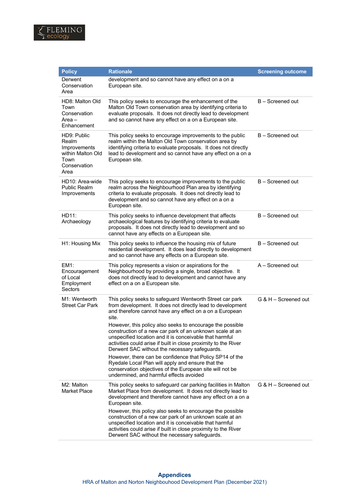

| <b>Policy</b>                                                                             | <b>Rationale</b>                                                                                                                                                                                                                                                                                     | <b>Screening outcome</b> |
|-------------------------------------------------------------------------------------------|------------------------------------------------------------------------------------------------------------------------------------------------------------------------------------------------------------------------------------------------------------------------------------------------------|--------------------------|
| Derwent<br>Conservation<br>Area                                                           | development and so cannot have any effect on a on a<br>European site.                                                                                                                                                                                                                                |                          |
| HD8: Malton Old<br>Town<br>Conservation<br>Area –<br>Enhancement                          | This policy seeks to encourage the enhancement of the<br>Malton Old Town conservation area by identifying criteria to<br>evaluate proposals. It does not directly lead to development<br>and so cannot have any effect on a on a European site.                                                      | B - Screened out         |
| HD9: Public<br>Realm<br>Improvements<br>within Malton Old<br>Town<br>Conservation<br>Area | This policy seeks to encourage improvements to the public<br>realm within the Malton Old Town conservation area by<br>identifying criteria to evaluate proposals. It does not directly<br>lead to development and so cannot have any effect on a on a<br>European site.                              | B - Screened out         |
| HD10: Area-wide<br><b>Public Realm</b><br>Improvements                                    | This policy seeks to encourage improvements to the public<br>realm across the Neighbourhood Plan area by identifying<br>criteria to evaluate proposals. It does not directly lead to<br>development and so cannot have any effect on a on a<br>European site.                                        | B - Screened out         |
| HD11:<br>Archaeology                                                                      | This policy seeks to influence development that affects<br>archaeological features by identifying criteria to evaluate<br>proposals. It does not directly lead to development and so<br>cannot have any effects on a European site.                                                                  | B - Screened out         |
| H1: Housing Mix                                                                           | This policy seeks to influence the housing mix of future<br>residential development. It does lead directly to development<br>and so cannot have any effects on a European site.                                                                                                                      | B - Screened out         |
| EM1:<br>Encouragement<br>of Local<br>Employment<br>Sectors                                | This policy represents a vision or aspirations for the<br>Neighbourhood by providing a single, broad objective. It<br>does not directly lead to development and cannot have any<br>effect on a on a European site.                                                                                   | A - Screened out         |
| M1: Wentworth<br><b>Street Car Park</b>                                                   | This policy seeks to safeguard Wentworth Street car park<br>from development. It does not directly lead to development<br>and therefore cannot have any effect on a on a European<br>site.                                                                                                           | G & H - Screened out     |
|                                                                                           | However, this policy also seeks to encourage the possible<br>construction of a new car park of an unknown scale at an<br>unspecified location and it is conceivable that harmful<br>activities could arise if built in close proximity to the River<br>Derwent SAC without the necessary safeguards. |                          |
|                                                                                           | However, there can be confidence that Policy SP14 of the<br>Ryedale Local Plan will apply and ensure that the<br>conservation objectives of the European site will not be<br>undermined, and harmful effects avoided                                                                                 |                          |
| M2: Malton<br><b>Market Place</b>                                                         | This policy seeks to safeguard car parking facilities in Malton<br>Market Place from development. It does not directly lead to<br>development and therefore cannot have any effect on a on a<br>European site.                                                                                       | G & H - Screened out     |
|                                                                                           | However, this policy also seeks to encourage the possible<br>construction of a new car park of an unknown scale at an<br>unspecified location and it is conceivable that harmful<br>activities could arise if built in close proximity to the River<br>Derwent SAC without the necessary safeguards. |                          |